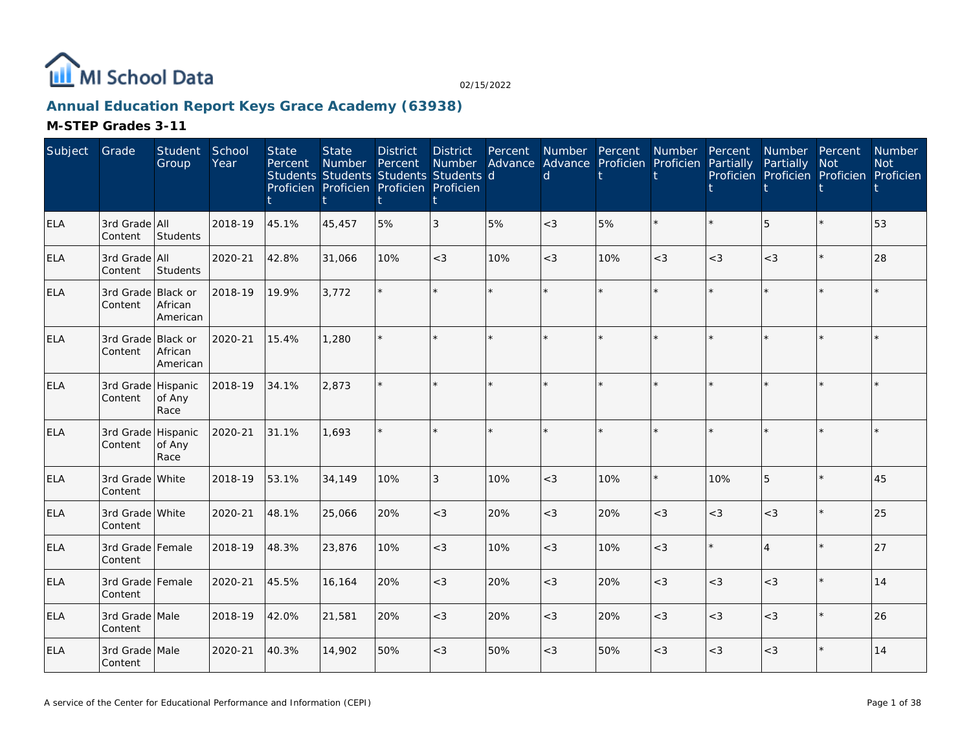

### **Annual Education Report Keys Grace Academy (63938)**

| Subject    | Grade                         | Student<br>Group    | School<br>Year | <b>State</b><br>Percent | <b>State</b><br><b>Number</b><br>Students Students Students Students d<br>Proficien Proficien Proficien Proficien | <b>District</b><br>Percent | <b>District</b><br>Number<br>t | Percent<br>Advance | Number Percent<br><sub>d</sub> |     | Number<br>Advance Proficien Proficien | Percent<br>Partially | Number Percent<br>Partially<br>Proficien Proficien Proficien Proficien | <b>Not</b> | Number<br><b>Not</b> |
|------------|-------------------------------|---------------------|----------------|-------------------------|-------------------------------------------------------------------------------------------------------------------|----------------------------|--------------------------------|--------------------|--------------------------------|-----|---------------------------------------|----------------------|------------------------------------------------------------------------|------------|----------------------|
| <b>ELA</b> | 3rd Grade All<br>Content      | Students            | 2018-19        | 45.1%                   | 45,457                                                                                                            | 5%                         | $\overline{3}$                 | 5%                 | $<$ 3                          | 5%  | $\star$                               |                      | 5                                                                      |            | 53                   |
| <b>ELA</b> | 3rd Grade All<br>Content      | Students            | 2020-21        | 42.8%                   | 31,066                                                                                                            | 10%                        | $<$ 3                          | 10%                | $\lt3$                         | 10% | $<$ 3                                 | $<$ 3                | $<$ 3                                                                  | $\star$    | 28                   |
| <b>ELA</b> | 3rd Grade Black or<br>Content | African<br>American | 2018-19        | 19.9%                   | 3,772                                                                                                             |                            |                                | $\star$            | ÷                              |     | $\star$                               |                      |                                                                        |            |                      |
| <b>ELA</b> | 3rd Grade Black or<br>Content | African<br>American | 2020-21        | 15.4%                   | 1,280                                                                                                             |                            |                                | $\star$            | ÷                              |     | $\star$                               |                      |                                                                        |            |                      |
| <b>ELA</b> | 3rd Grade Hispanic<br>Content | of Any<br>Race      | 2018-19        | 34.1%                   | 2,873                                                                                                             |                            |                                | $\star$            | $\star$                        |     | $\star$                               |                      |                                                                        | $\star$    |                      |
| <b>ELA</b> | 3rd Grade Hispanic<br>Content | of Any<br>Race      | 2020-21        | 31.1%                   | 1,693                                                                                                             |                            |                                | ÷.                 |                                |     | $\star$                               |                      |                                                                        | ÷.         |                      |
| ELA        | 3rd Grade White<br>Content    |                     | 2018-19        | 53.1%                   | 34,149                                                                                                            | 10%                        | 3                              | 10%                | $<$ 3                          | 10% | $\star$                               | 10%                  | 5                                                                      | $\star$    | 45                   |
| <b>ELA</b> | 3rd Grade White<br>Content    |                     | 2020-21        | 48.1%                   | 25,066                                                                                                            | 20%                        | $<$ 3                          | 20%                | $<$ 3                          | 20% | $<$ 3                                 | $<$ 3                | $<\!3$                                                                 | $\star$    | 25                   |
| <b>ELA</b> | 3rd Grade Female<br>Content   |                     | 2018-19        | 48.3%                   | 23,876                                                                                                            | 10%                        | $<$ 3                          | 10%                | $<$ 3                          | 10% | $<$ 3                                 |                      | $\overline{4}$                                                         |            | 27                   |
| ELA        | 3rd Grade Female<br>Content   |                     | 2020-21        | 45.5%                   | 16,164                                                                                                            | 20%                        | $<$ 3                          | 20%                | $<$ 3                          | 20% | $<$ 3                                 | $<$ 3                | $<$ 3                                                                  | $\star$    | 14                   |
| <b>ELA</b> | 3rd Grade Male<br>Content     |                     | 2018-19        | 42.0%                   | 21,581                                                                                                            | 20%                        | $<$ 3                          | 20%                | $<$ 3                          | 20% | $<$ 3                                 | $<$ 3                | $<$ 3                                                                  | $\star$    | 26                   |
| <b>ELA</b> | 3rd Grade Male<br>Content     |                     | 2020-21        | 40.3%                   | 14,902                                                                                                            | 50%                        | $<$ 3                          | 50%                | $<$ 3                          | 50% | $<$ 3                                 | $<$ 3                | $<\!3$                                                                 |            | 14                   |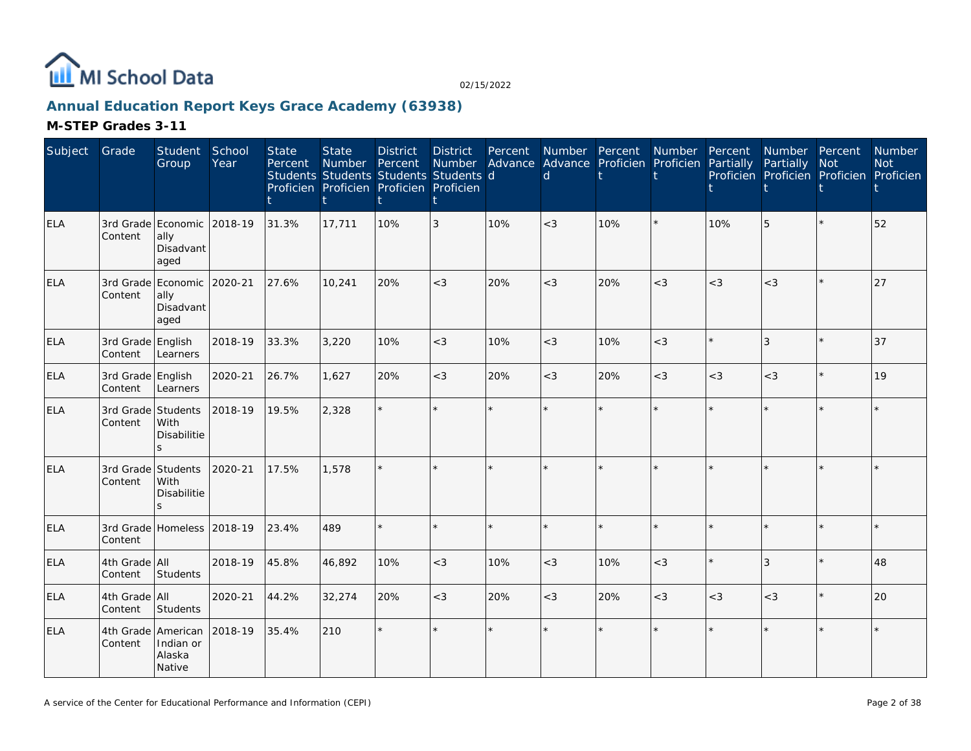

# **Annual Education Report Keys Grace Academy (63938)**

| Subject    | Grade                         | Student<br>Group                                        | School<br>Year | <b>State</b><br>Percent | <b>State</b><br><b>Number</b> | <b>District</b><br>Percent<br>Students Students Students Students d<br>Proficien Proficien Proficien Proficien | <b>District</b><br>Number<br>t | Percent | $\mathsf{d}$ | Number Percent Number<br>Advance Advance Proficien Proficien |         | Percent<br>Partially | Number Percent<br>Partially | Not<br>Proficien Proficien Proficien Proficien | Number<br><b>Not</b> |
|------------|-------------------------------|---------------------------------------------------------|----------------|-------------------------|-------------------------------|----------------------------------------------------------------------------------------------------------------|--------------------------------|---------|--------------|--------------------------------------------------------------|---------|----------------------|-----------------------------|------------------------------------------------|----------------------|
| <b>ELA</b> | Content                       | 3rd Grade Economic 2018-19<br>ally<br>Disadvant<br>aged |                | 31.3%                   | 17,711                        | 10%                                                                                                            | 3                              | 10%     | $<$ 3        | 10%                                                          | $\star$ | 10%                  | 5                           |                                                | 52                   |
| <b>ELA</b> | Content                       | 3rd Grade Economic 2020-21<br>ally<br>Disadvant<br>aged |                | 27.6%                   | 10,241                        | 20%                                                                                                            | $<$ 3                          | 20%     | $<$ 3        | 20%                                                          | $<$ 3   | $<$ 3                | $<$ 3                       | $\star$                                        | 27                   |
| ELA        | 3rd Grade English<br>Content  | Learners                                                | 2018-19        | 33.3%                   | 3,220                         | 10%                                                                                                            | $<$ 3                          | 10%     | $\lt$ 3      | 10%                                                          | $<$ 3   |                      | 3                           | $\star$                                        | 37                   |
| ELA        | 3rd Grade English<br>Content  | Learners                                                | 2020-21        | 26.7%                   | 1,627                         | 20%                                                                                                            | $<$ 3                          | 20%     | $\lt$ 3      | 20%                                                          | $<$ 3   | $<$ 3                | $<$ 3                       | $\star$                                        | 19                   |
| <b>ELA</b> | 3rd Grade Students<br>Content | With<br>Disabilitie                                     | 2018-19        | 19.5%                   | 2,328                         |                                                                                                                | ÷.                             |         |              |                                                              |         |                      |                             | $\star$                                        |                      |
| <b>ELA</b> | Content                       | 3rd Grade Students<br><b>With</b><br>Disabilitie        | 2020-21        | 17.5%                   | 1,578                         |                                                                                                                | $\star$                        |         |              |                                                              |         |                      |                             |                                                |                      |
| <b>ELA</b> | Content                       | 3rd Grade Homeless 2018-19                              |                | 23.4%                   | 489                           |                                                                                                                | $\star$                        | $\star$ |              |                                                              |         |                      |                             | $\star$                                        |                      |
| <b>ELA</b> | 4th Grade All<br>Content      | Students                                                | 2018-19        | 45.8%                   | 46,892                        | 10%                                                                                                            | $<$ 3                          | 10%     | $<$ 3        | 10%                                                          | $<$ 3   |                      | 3                           | $\star$                                        | 48                   |
| <b>ELA</b> | 4th Grade All<br>Content      | Students                                                | 2020-21        | 44.2%                   | 32,274                        | 20%                                                                                                            | $<$ 3                          | 20%     | $<$ 3        | 20%                                                          | $<$ 3   | $<$ 3                | $<$ 3                       | $\star$                                        | 20                   |
| <b>ELA</b> | Content                       | 4th Grade American<br>Indian or<br>Alaska<br>Native     | 2018-19        | 35.4%                   | 210                           | $\star$                                                                                                        | ÷.                             |         |              |                                                              |         |                      |                             |                                                |                      |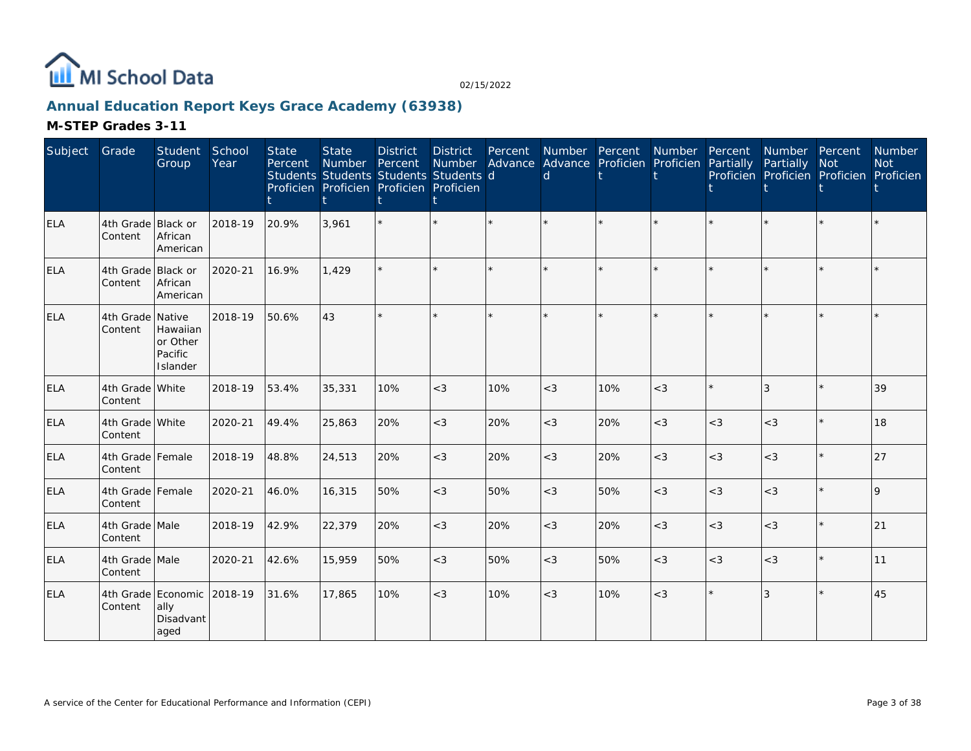

### **Annual Education Report Keys Grace Academy (63938)**

| Subject    | Grade                         | <b>Student</b><br>Group                         | School<br>Year | <b>State</b><br>Percent | <b>State</b><br>Number Percent<br>Students Students Students Students d<br>Proficien Proficien Proficien Proficien | <b>District</b> | <b>District</b><br>Number | Percent | Number Percent<br>Advance Advance Proficien Proficien Partially<br>d |     | Number Percent |       | Number Percent<br>Partially<br>Proficien Proficien Proficien Proficien | <b>Not</b> | Number<br><b>Not</b> |
|------------|-------------------------------|-------------------------------------------------|----------------|-------------------------|--------------------------------------------------------------------------------------------------------------------|-----------------|---------------------------|---------|----------------------------------------------------------------------|-----|----------------|-------|------------------------------------------------------------------------|------------|----------------------|
| <b>ELA</b> | 4th Grade Black or<br>Content | African<br>American                             | 2018-19        | 20.9%                   | 3.961                                                                                                              |                 |                           |         |                                                                      |     |                |       |                                                                        |            |                      |
| <b>ELA</b> | 4th Grade Black or<br>Content | African<br>American                             | 2020-21        | 16.9%                   | 1,429                                                                                                              |                 |                           |         |                                                                      |     |                |       |                                                                        | $\star$    |                      |
| <b>ELA</b> | 4th Grade Native<br>Content   | Hawaiian<br>or Other<br>Pacific<br>Islander     | 2018-19        | 50.6%                   | 43                                                                                                                 |                 |                           |         |                                                                      |     | $\star$        |       |                                                                        | $\star$    |                      |
| <b>ELA</b> | 4th Grade White<br>Content    |                                                 | 2018-19        | 53.4%                   | 35,331                                                                                                             | 10%             | $<$ 3                     | 10%     | $<$ 3                                                                | 10% | $<$ 3          |       | 3                                                                      | ÷.         | 39                   |
| <b>ELA</b> | 4th Grade White<br>Content    |                                                 | 2020-21        | 49.4%                   | 25,863                                                                                                             | 20%             | $<\!3$                    | 20%     | $<$ 3                                                                | 20% | $<$ 3          | $<$ 3 | $<$ 3                                                                  | $\star$    | 18                   |
| ELA        | 4th Grade Female<br>Content   |                                                 | 2018-19        | 48.8%                   | 24,513                                                                                                             | 20%             | $<$ 3                     | 20%     | $<$ 3                                                                | 20% | $<$ 3          | $<$ 3 | $<$ 3                                                                  | $\star$    | 27                   |
| <b>ELA</b> | 4th Grade Female<br>Content   |                                                 | 2020-21        | 46.0%                   | 16,315                                                                                                             | 50%             | $<$ 3                     | 50%     | $<$ 3                                                                | 50% | $<$ 3          | $<$ 3 | $<\!3$                                                                 | $\star$    | 9                    |
| ELA        | 4th Grade Male<br>Content     |                                                 | 2018-19        | 42.9%                   | 22,379                                                                                                             | 20%             | $<$ 3                     | 20%     | $<$ 3                                                                | 20% | $<$ 3          | $<$ 3 | $<$ 3                                                                  | $\star$    | 21                   |
| ELA        | 4th Grade Male<br>Content     |                                                 | 2020-21        | 42.6%                   | 15,959                                                                                                             | 50%             | $<$ 3                     | 50%     | $<$ 3                                                                | 50% | $<$ 3          | $<$ 3 | $<$ 3                                                                  | $\star$    | 11                   |
| <b>ELA</b> | Content                       | 4th Grade Economic<br>ally<br>Disadvant<br>aged | 2018-19        | 31.6%                   | 17,865                                                                                                             | 10%             | $<\!3$                    | 10%     | $<$ 3                                                                | 10% | $<$ 3          |       | 3                                                                      | $\star$    | 45                   |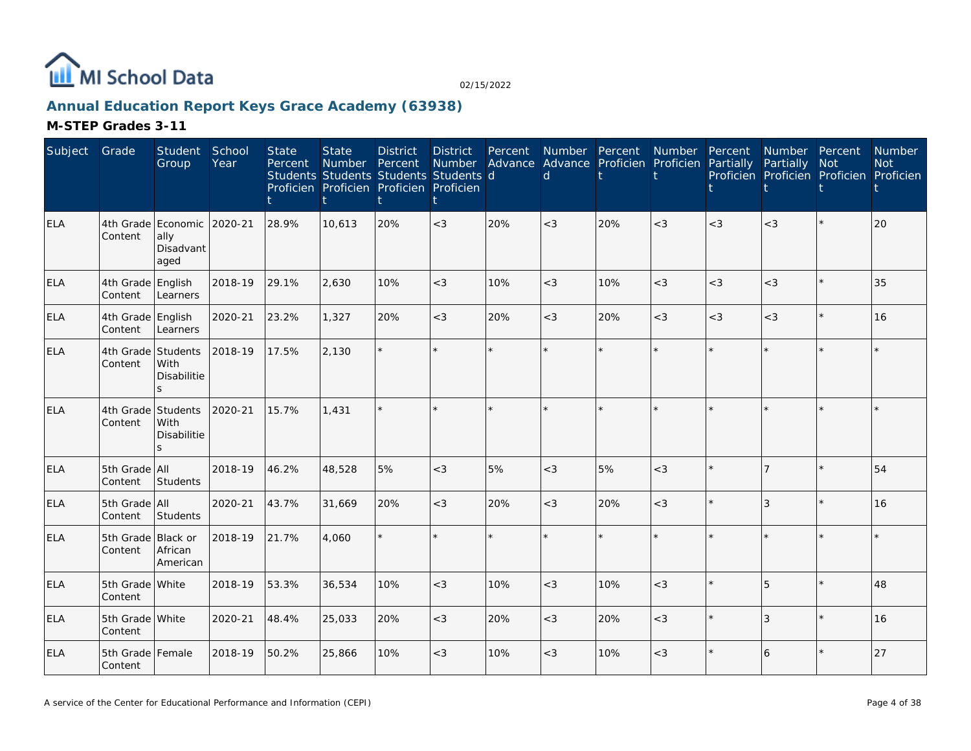

### **Annual Education Report Keys Grace Academy (63938)**

| Subject    | Grade                         | Student<br>Group                                        | School<br>Year | <b>State</b><br>Percent | <b>State</b><br>Number | <b>District</b><br>Percent<br>Students Students Students Students d<br>Proficien Proficien Proficien Proficien | <b>District</b><br><b>Number</b> | Percent | Advance Advance Proficien Proficien<br>d | Number Percent | Number Percent | Partially | Number Percent<br>Partially<br>Proficien Proficien Proficien Proficien | <b>Not</b> | Number<br><b>Not</b> |
|------------|-------------------------------|---------------------------------------------------------|----------------|-------------------------|------------------------|----------------------------------------------------------------------------------------------------------------|----------------------------------|---------|------------------------------------------|----------------|----------------|-----------|------------------------------------------------------------------------|------------|----------------------|
| <b>ELA</b> | Content                       | 4th Grade Economic 2020-21<br>ally<br>Disadvant<br>aged |                | 28.9%                   | 10.613                 | 20%                                                                                                            | $<$ 3                            | 20%     | $\lt3$                                   | 20%            | $<$ 3          | $<$ 3     | $<$ 3                                                                  | $\star$    | 20                   |
| <b>ELA</b> | 4th Grade English<br>Content  | Learners                                                | 2018-19        | 29.1%                   | 2.630                  | 10%                                                                                                            | $<$ 3                            | 10%     | $<$ 3                                    | 10%            | $<$ 3          | $<$ 3     | $<$ 3                                                                  | $\star$    | 35                   |
| <b>ELA</b> | 4th Grade English<br>Content  | Learners                                                | 2020-21        | 23.2%                   | 1,327                  | 20%                                                                                                            | $<$ 3                            | 20%     | $<$ 3                                    | 20%            | $<$ 3          | $<$ 3     | $<$ 3                                                                  | $\star$    | 16                   |
| <b>ELA</b> | 4th Grade Students<br>Content | With<br>Disabilitie<br>S.                               | 2018-19        | 17.5%                   | 2,130                  |                                                                                                                | $\star$                          | ÷.      |                                          |                | $\star$        | ÷         |                                                                        | $\star$    |                      |
| <b>ELA</b> | 4th Grade Students<br>Content | With<br>Disabilitie<br>S.                               | 2020-21        | 15.7%                   | 1,431                  |                                                                                                                | $\star$                          |         |                                          |                |                |           |                                                                        |            |                      |
| <b>ELA</b> | 5th Grade All<br>Content      | Students                                                | 2018-19        | 46.2%                   | 48,528                 | 5%                                                                                                             | $<$ 3                            | 5%      | $<$ 3                                    | 5%             | $<$ 3          |           | 17                                                                     | $\star$    | 54                   |
| <b>ELA</b> | 5th Grade All<br>Content      | Students                                                | 2020-21        | 43.7%                   | 31,669                 | 20%                                                                                                            | $<$ 3                            | 20%     | $<$ 3                                    | 20%            | $<$ 3          |           | 3                                                                      | $\star$    | 16                   |
| <b>ELA</b> | 5th Grade Black or<br>Content | African<br>American                                     | 2018-19        | 21.7%                   | 4,060                  |                                                                                                                | $\star$                          | ÷.      |                                          |                | ÷.             |           |                                                                        | $\star$    |                      |
| ELA        | 5th Grade White<br>Content    |                                                         | 2018-19        | 53.3%                   | 36,534                 | 10%                                                                                                            | $<\!3$                           | 10%     | $<$ 3                                    | 10%            | < 3            |           | 5                                                                      | $\star$    | 48                   |
| ELA        | 5th Grade White<br>Content    |                                                         | 2020-21        | 48.4%                   | 25,033                 | 20%                                                                                                            | $<$ 3                            | 20%     | $<$ 3                                    | 20%            | $<$ 3          |           | 3                                                                      | $\star$    | 16                   |
| <b>ELA</b> | 5th Grade Female<br>Content   |                                                         | 2018-19        | 50.2%                   | 25,866                 | 10%                                                                                                            | $<$ 3                            | 10%     | $\lt$ 3                                  | 10%            | < 3            |           | 16                                                                     |            | 27                   |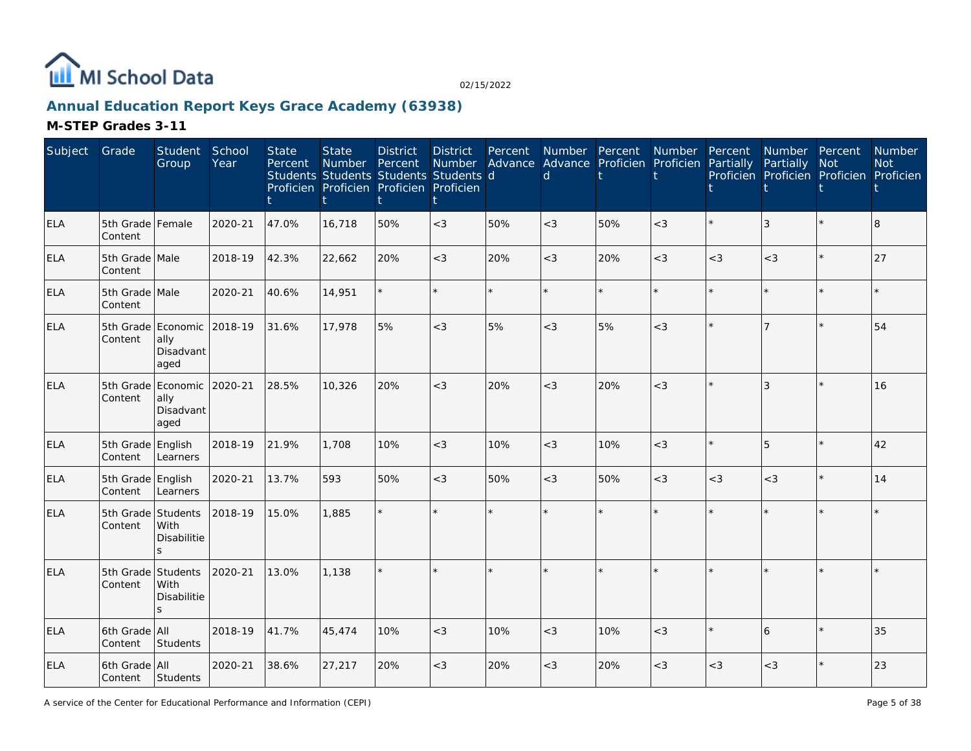

# **Annual Education Report Keys Grace Academy (63938)**

| Subject    | Grade                        | Student<br>Group                                 | School<br>Year | <b>State</b><br>Percent | <b>State</b><br>Number | <b>District</b><br>Percent<br>Students Students Students Students d<br>Proficien Proficien Proficien Proficien | <b>District</b><br><b>Number</b> | Percent | Number Percent<br>Advance Advance Proficien<br><sub>d</sub> |         | Number<br>Proficien | Percent<br>Partially | Number Percent<br>Partially | <b>Not</b><br>Proficien Proficien Proficien Proficien | <b>Number</b><br><b>Not</b> |
|------------|------------------------------|--------------------------------------------------|----------------|-------------------------|------------------------|----------------------------------------------------------------------------------------------------------------|----------------------------------|---------|-------------------------------------------------------------|---------|---------------------|----------------------|-----------------------------|-------------------------------------------------------|-----------------------------|
| <b>ELA</b> | 5th Grade Female<br>Content  |                                                  | 2020-21        | 47.0%                   | 16,718                 | 50%                                                                                                            | $<$ 3                            | 50%     | $<$ 3                                                       | 50%     | $<$ 3               |                      | 3                           |                                                       | 8                           |
| <b>ELA</b> | 5th Grade Male<br>Content    |                                                  | 2018-19        | 42.3%                   | 22,662                 | 20%                                                                                                            | $<$ 3                            | 20%     | $<$ 3                                                       | 20%     | $<$ 3               | $<$ 3                | $<$ 3                       | $\star$                                               | 27                          |
| <b>ELA</b> | 5th Grade Male<br>Content    |                                                  | 2020-21        | 40.6%                   | 14,951                 |                                                                                                                |                                  | $\star$ |                                                             | $\star$ | $\star$             |                      | $\star$                     | $\star$                                               |                             |
| ELA        | 5th Grade<br>Content         | Economic 2018-19<br>ally<br>Disadvant<br>aged    |                | 31.6%                   | 17,978                 | 5%                                                                                                             | $<\!3$                           | 5%      | $<$ 3                                                       | 5%      | $<$ 3               |                      |                             | $\star$                                               | 54                          |
| <b>ELA</b> | 5th Grade<br>Content         | Economic<br>ally<br>Disadvant<br>aged            | 2020-21        | 28.5%                   | 10,326                 | 20%                                                                                                            | $<$ 3                            | 20%     | $<$ 3                                                       | 20%     | $<$ 3               |                      | 3                           |                                                       | 16                          |
| ELA        | 5th Grade<br>Content         | English<br>Learners                              | 2018-19        | 21.9%                   | 1,708                  | 10%                                                                                                            | $<$ 3                            | 10%     | $<$ 3                                                       | 10%     | $<$ 3               |                      | 5                           | $\star$                                               | 42                          |
| <b>ELA</b> | 5th Grade English<br>Content | Learners                                         | 2020-21        | 13.7%                   | 593                    | 50%                                                                                                            | $<$ 3                            | 50%     | $<$ 3                                                       | 50%     | $<$ 3               | $<$ 3                | $<$ 3                       | $\star$                                               | 14                          |
| <b>ELA</b> | 5th Grade<br>Content         | Students<br>With<br>Disabilitie<br>$\mathsf{S}$  | 2018-19        | 15.0%                   | 1,885                  |                                                                                                                |                                  |         |                                                             |         | $\star$             |                      |                             | $\star$                                               |                             |
| <b>ELA</b> | 5th Grade<br>Content         | Students<br>With<br>Disabilitie<br>$\mathcal{S}$ | 2020-21        | 13.0%                   | 1.138                  |                                                                                                                |                                  | $\star$ |                                                             |         | $\star$             |                      |                             | $\star$                                               |                             |
| <b>ELA</b> | 6th Grade All<br>Content     | Students                                         | 2018-19        | 41.7%                   | 45,474                 | 10%                                                                                                            | $<$ 3                            | 10%     | $<$ 3                                                       | 10%     | $<$ 3               |                      | 6                           | $\star$                                               | 35                          |
| <b>ELA</b> | 6th Grade All<br>Content     | Students                                         | 2020-21        | 38.6%                   | 27,217                 | 20%                                                                                                            | $<\!3$                           | 20%     | $<$ 3                                                       | 20%     | $<$ 3               | $<$ 3                | $<\!3$                      |                                                       | 23                          |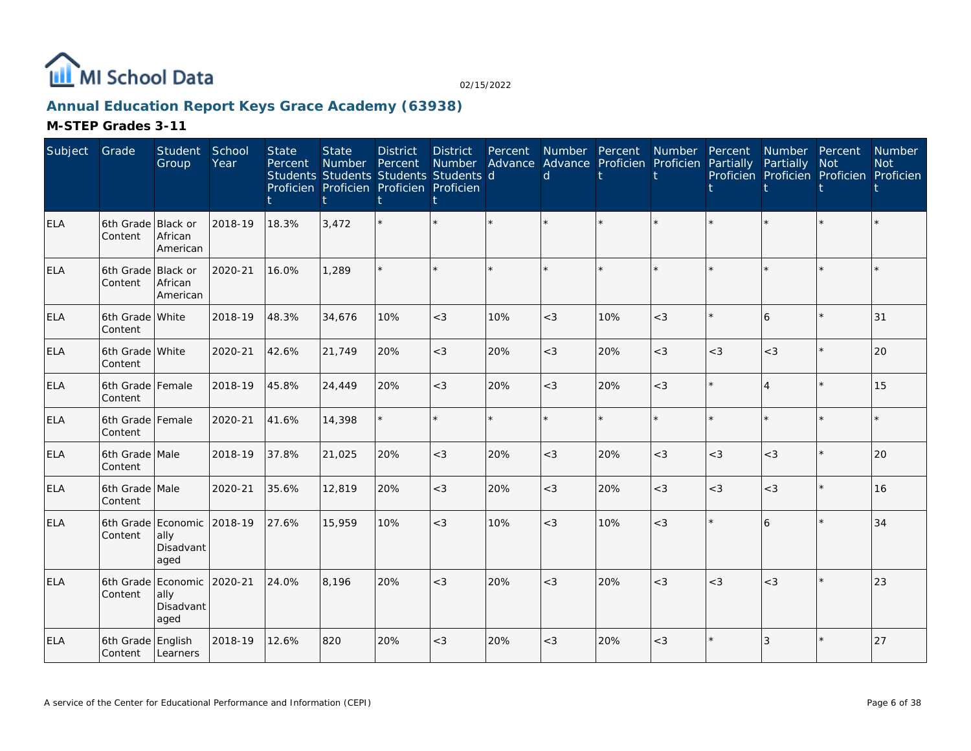

### **Annual Education Report Keys Grace Academy (63938)**

| Subject    | Grade                         | Student<br>Group                      | School<br>Year | <b>State</b><br>Percent | State<br>Number<br>Students Students Students Students d<br>Proficien Proficien Proficien Proficien | <b>District</b><br>Percent | <b>District</b><br><b>Number</b> | Percent<br>Advance | Number Percent<br>d | Advance Proficien Proficien | Number  | Percent<br>Partially | Number Percent<br>Partially<br>Proficien Proficien Proficien Proficien | <b>Not</b> | Number<br><b>Not</b> |
|------------|-------------------------------|---------------------------------------|----------------|-------------------------|-----------------------------------------------------------------------------------------------------|----------------------------|----------------------------------|--------------------|---------------------|-----------------------------|---------|----------------------|------------------------------------------------------------------------|------------|----------------------|
| <b>ELA</b> | 6th Grade Black or<br>Content | African<br>American                   | 2018-19        | 18.3%                   | 3,472                                                                                               |                            | $\star$                          | $\star$            |                     | $\star$                     |         |                      |                                                                        | $\star$    |                      |
| <b>ELA</b> | 6th Grade<br>Content          | Black or<br>African<br>American       | 2020-21        | 16.0%                   | 1,289                                                                                               |                            | ÷.                               |                    |                     | $\star$                     |         |                      |                                                                        |            |                      |
| <b>ELA</b> | 6th Grade White<br>Content    |                                       | 2018-19        | 48.3%                   | 34,676                                                                                              | 10%                        | $<$ 3                            | 10%                | $<$ 3               | 10%                         | $<$ 3   |                      | 6                                                                      | $\star$    | 31                   |
| <b>ELA</b> | 6th Grade White<br>Content    |                                       | 2020-21        | 42.6%                   | 21,749                                                                                              | 20%                        | $<$ 3                            | 20%                | $<$ 3               | 20%                         | $<\!3$  | $<$ 3                | $<$ 3                                                                  | $\star$    | 20                   |
| <b>ELA</b> | 6th Grade Female<br>Content   |                                       | 2018-19        | 45.8%                   | 24,449                                                                                              | 20%                        | $<$ 3                            | 20%                | $<$ 3               | 20%                         | $<$ 3   |                      | $\overline{4}$                                                         | $\star$    | 15                   |
| <b>ELA</b> | 6th Grade Female<br>Content   |                                       | 2020-21        | 41.6%                   | 14,398                                                                                              |                            | $\star$                          | $\star$            | ÷.                  | $\star$                     | $\star$ |                      |                                                                        | $\star$    |                      |
| <b>ELA</b> | 6th Grade Male<br>Content     |                                       | 2018-19        | 37.8%                   | 21,025                                                                                              | 20%                        | $<$ 3                            | 20%                | $<$ 3               | 20%                         | $<$ 3   | $<$ 3                | $<$ 3                                                                  | $\star$    | 20                   |
| <b>ELA</b> | 6th Grade Male<br>Content     |                                       | 2020-21        | 35.6%                   | 12,819                                                                                              | 20%                        | $<$ 3                            | 20%                | $<$ 3               | 20%                         | $<$ 3   | $<$ 3                | $<$ 3                                                                  | $\star$    | 16                   |
| <b>ELA</b> | 6th Grade Economic<br>Content | ally<br>Disadvant<br>aged             | 2018-19        | 27.6%                   | 15,959                                                                                              | 10%                        | $<$ 3                            | 10%                | $<$ 3               | 10%                         | $<$ 3   |                      | 6                                                                      | $\star$    | 34                   |
| <b>ELA</b> | 6th Grade<br>Content          | Economic<br>ally<br>Disadvant<br>aged | 2020-21        | 24.0%                   | 8,196                                                                                               | 20%                        | $<$ 3                            | 20%                | $<$ 3               | 20%                         | $<$ 3   | $<$ 3                | $<$ 3                                                                  | $\star$    | 23                   |
| <b>ELA</b> | 6th Grade English<br>Content  | Learners                              | 2018-19        | 12.6%                   | 820                                                                                                 | 20%                        | $<$ 3                            | 20%                | $<$ 3               | 20%                         | $<$ 3   |                      | 3                                                                      |            | 27                   |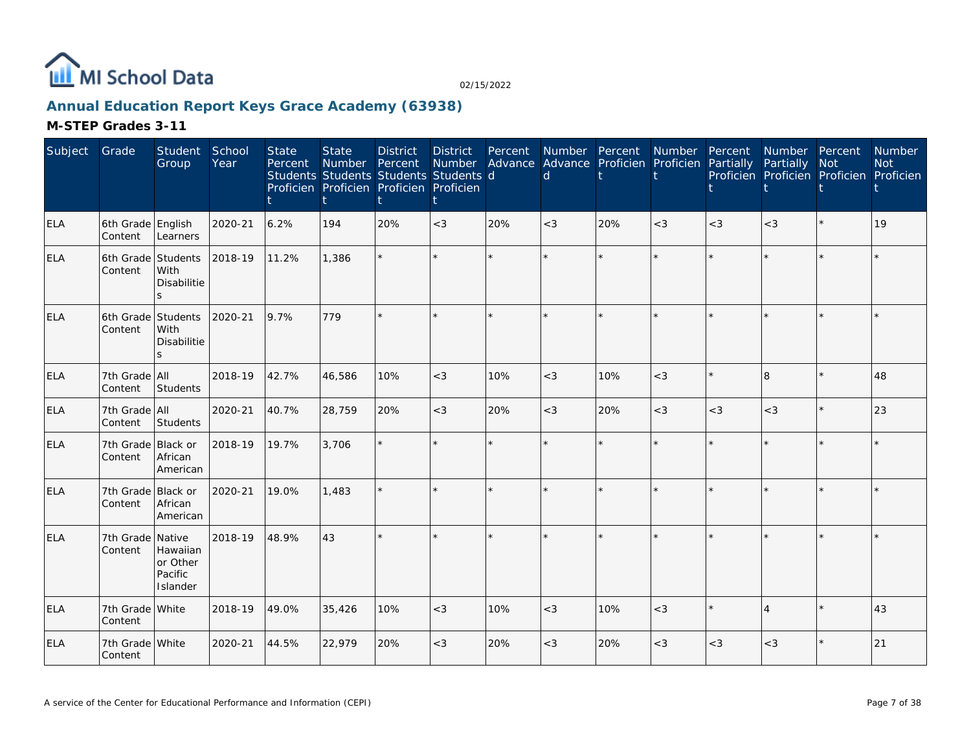

### **Annual Education Report Keys Grace Academy (63938)**

| Subject    | Grade                         | Student<br>Group                                       | School<br>Year | <b>State</b><br>Percent | <b>State</b><br>Number<br>Students Students Students Students d<br>Proficien Proficien Proficien Proficien | <b>District</b><br>Percent | <b>District</b><br>Number | Percent<br>Advance | d     | Number Percent<br>Advance Proficien Proficien | Number  | Percent<br>Partially | Number Percent<br>Partially<br>Proficien Proficien Proficien Proficien | Not     | Number<br><b>Not</b> |
|------------|-------------------------------|--------------------------------------------------------|----------------|-------------------------|------------------------------------------------------------------------------------------------------------|----------------------------|---------------------------|--------------------|-------|-----------------------------------------------|---------|----------------------|------------------------------------------------------------------------|---------|----------------------|
| <b>ELA</b> | 6th Grade English<br>Content  | Learners                                               | 2020-21        | 6.2%                    | 194                                                                                                        | 20%                        | $<$ 3                     | 20%                | $<$ 3 | 20%                                           | $<$ 3   | $<$ 3                | $<$ 3                                                                  | $\star$ | 19                   |
| ELA        | 6th Grade<br>Content          | Students<br>With<br><b>Disabilitie</b><br>S            | 2018-19        | 11.2%                   | 1,386                                                                                                      |                            | $\star$                   |                    |       | $\star$                                       |         |                      |                                                                        |         |                      |
| <b>ELA</b> | 6th Grade<br>Content          | Students<br>With<br><b>Disabilitie</b><br>$\mathbf{s}$ | 2020-21        | 9.7%                    | 779                                                                                                        |                            | $\star$                   | $\star$            |       | $\star$                                       |         |                      |                                                                        | $\star$ |                      |
| ELA        | 7th Grade All<br>Content      | Students                                               | 2018-19        | 42.7%                   | 46,586                                                                                                     | 10%                        | $<$ 3                     | 10%                | $<$ 3 | 10%                                           | $<$ 3   |                      | l8                                                                     | $\star$ | 48                   |
| <b>ELA</b> | 7th Grade All<br>Content      | Students                                               | 2020-21        | 40.7%                   | 28,759                                                                                                     | 20%                        | $<$ 3                     | 20%                | $<$ 3 | 20%                                           | $<$ 3   | $<$ 3                | $<$ 3                                                                  | $\star$ | 23                   |
| <b>ELA</b> | 7th Grade<br>Content          | <b>Black or</b><br>African<br>American                 | 2018-19        | 19.7%                   | 3,706                                                                                                      |                            | $\star$                   | ÷.                 |       | $\star$                                       | ÷.      |                      |                                                                        | $\star$ |                      |
| <b>ELA</b> | 7th Grade Black or<br>Content | African<br>American                                    | 2020-21        | 19.0%                   | 1,483                                                                                                      |                            | $\star$                   |                    |       | $\star$                                       |         |                      |                                                                        |         |                      |
| ELA        | 7th Grade Native<br>Content   | Hawaiian<br>or Other<br>Pacific<br>Islander            | 2018-19        | 48.9%                   | 43                                                                                                         |                            | ÷.                        | $\star$            |       | $\star$                                       | $\star$ |                      |                                                                        | $\star$ |                      |
| <b>ELA</b> | 7th Grade White<br>Content    |                                                        | 2018-19        | 49.0%                   | 35,426                                                                                                     | 10%                        | $<$ 3                     | 10%                | $<$ 3 | 10%                                           | $<$ 3   |                      | $\overline{A}$                                                         | $\star$ | 43                   |
| <b>ELA</b> | 7th Grade White<br>Content    |                                                        | 2020-21        | 44.5%                   | 22,979                                                                                                     | 20%                        | $<$ 3                     | 20%                | $<$ 3 | 20%                                           | $<$ 3   | $<$ 3                | $<$ 3                                                                  |         | 21                   |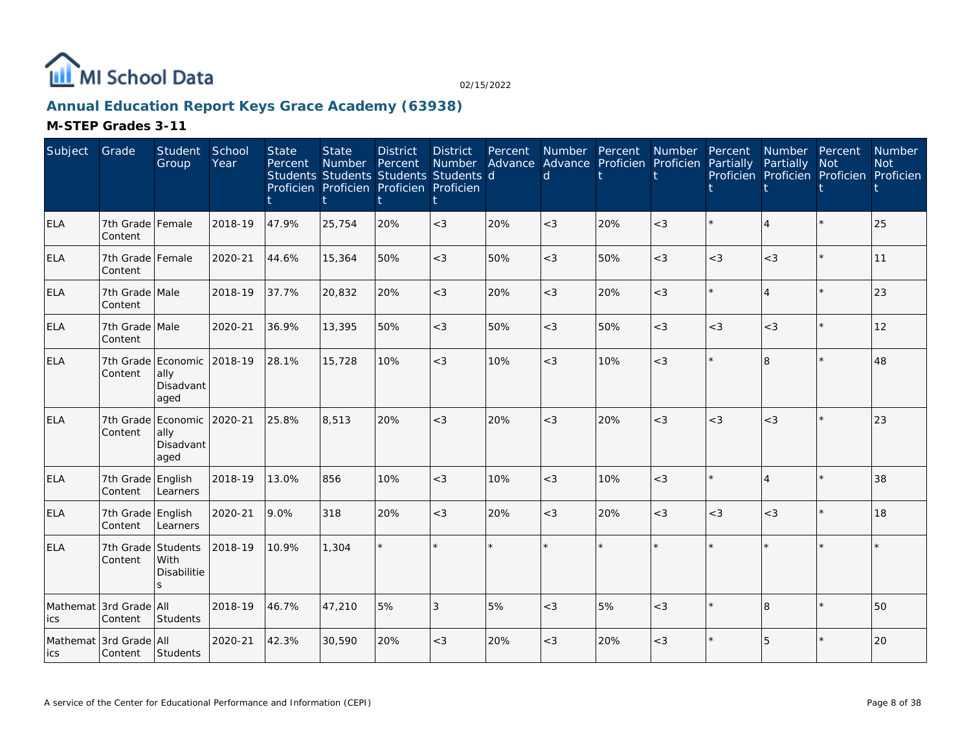

### **Annual Education Report Keys Grace Academy (63938)**

| Subject    | Grade                             | Student<br>Group                                        | School<br>Year | <b>State</b><br>Percent | <b>State</b><br><b>Number</b><br>Students Students Students Students d<br>Proficien Proficien Proficien Proficien | <b>District</b><br>Percent | <b>District</b><br>Number | Percent | Number Percent<br>Advance Advance Proficien Proficien Partially<br>d |     | Number  | Percent | Number Percent<br>Partially | <b>Not</b><br>Proficien Proficien Proficien Proficien | Number<br><b>Not</b> |
|------------|-----------------------------------|---------------------------------------------------------|----------------|-------------------------|-------------------------------------------------------------------------------------------------------------------|----------------------------|---------------------------|---------|----------------------------------------------------------------------|-----|---------|---------|-----------------------------|-------------------------------------------------------|----------------------|
| <b>ELA</b> | 7th Grade Female<br>Content       |                                                         | 2018-19        | 47.9%                   | 25,754                                                                                                            | 20%                        | $<$ 3                     | 20%     | $<$ 3                                                                | 20% | $<$ 3   |         | 4                           | $\star$                                               | 25                   |
| <b>ELA</b> | 7th Grade Female<br>Content       |                                                         | 2020-21        | 44.6%                   | 15,364                                                                                                            | 50%                        | $<$ 3                     | 50%     | $<$ 3                                                                | 50% | $<$ 3   | $<$ 3   | $<$ 3                       | $\star$                                               | 11                   |
| <b>ELA</b> | 7th Grade Male<br>Content         |                                                         | 2018-19        | 37.7%                   | 20,832                                                                                                            | 20%                        | $<$ 3                     | 20%     | $<$ 3                                                                | 20% | $<$ 3   |         | $\overline{4}$              | $\star$                                               | 23                   |
| <b>ELA</b> | 7th Grade Male<br>Content         |                                                         | 2020-21        | 36.9%                   | 13,395                                                                                                            | 50%                        | $<$ 3                     | 50%     | $<$ 3                                                                | 50% | $<$ 3   | $<$ 3   | $<$ 3                       | $\star$                                               | 12                   |
| <b>ELA</b> | Content                           | 7th Grade Economic<br>ally<br>Disadvant<br>aged         | 2018-19        | 28.1%                   | 15,728                                                                                                            | 10%                        | $<$ 3                     | 10%     | $<$ 3                                                                | 10% | $<$ 3   |         | $\overline{8}$              | $\star$                                               | 48                   |
| <b>ELA</b> | Content                           | 7th Grade Economic 2020-21<br>ally<br>Disadvant<br>aged |                | 25.8%                   | 8,513                                                                                                             | 20%                        | $<$ 3                     | 20%     | $<$ 3                                                                | 20% | $<$ 3   | $<$ 3   | $<$ 3                       | $\star$                                               | 23                   |
| <b>ELA</b> | 7th Grade<br>Content              | English<br>Learners                                     | 2018-19        | 13.0%                   | 856                                                                                                               | 10%                        | $<$ 3                     | 10%     | $<$ 3                                                                | 10% | $<$ 3   |         | $\overline{4}$              | $\star$                                               | 38                   |
| <b>ELA</b> | 7th Grade English<br>Content      | Learners                                                | 2020-21        | 9.0%                    | 318                                                                                                               | 20%                        | $<$ 3                     | 20%     | $<$ 3                                                                | 20% | $<$ 3   | $<$ 3   | $<$ 3                       | $\star$                                               | 18                   |
| <b>ELA</b> | 7th Grade<br>Content              | Students<br>With<br><b>Disabilitie</b><br>ς             | 2018-19        | 10.9%                   | 1,304                                                                                                             |                            |                           | $\star$ |                                                                      |     | $\star$ |         |                             |                                                       |                      |
| ics        | Mathemat 3rd Grade All<br>Content | <b>Students</b>                                         | 2018-19        | 46.7%                   | 47,210                                                                                                            | 5%                         | 3                         | 5%      | $<$ 3                                                                | 5%  | $<$ 3   |         | $\overline{8}$              | $\star$                                               | 50                   |
| lics       | Mathemat 3rd Grade All<br>Content | Students                                                | 2020-21        | 42.3%                   | 30,590                                                                                                            | 20%                        | $<$ 3                     | 20%     | $<$ 3                                                                | 20% | $<$ 3   |         | 5                           |                                                       | 20                   |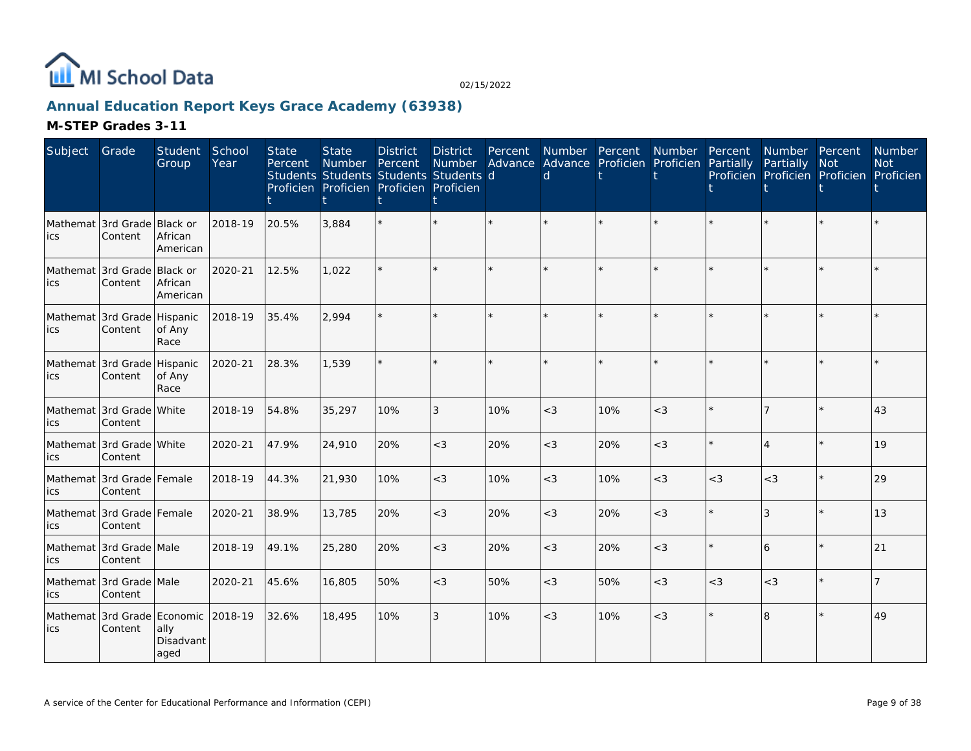

### **Annual Education Report Keys Grace Academy (63938)**

| Subject | Grade                                  | Student<br>Group                | School<br>Year | <b>State</b><br>Percent | <b>State</b><br><b>Number</b><br>Students Students Students Students d<br>Proficien Proficien Proficien Proficien | <b>District</b><br>Percent | <b>District</b><br>Number | Percent | Number Percent<br>d |     | Number<br>Advance Advance Proficien Proficien | Percent<br>Partially | Number Percent<br>Partially | <b>Not</b><br>Proficien Proficien Proficien Proficien | Number<br><b>Not</b> |
|---------|----------------------------------------|---------------------------------|----------------|-------------------------|-------------------------------------------------------------------------------------------------------------------|----------------------------|---------------------------|---------|---------------------|-----|-----------------------------------------------|----------------------|-----------------------------|-------------------------------------------------------|----------------------|
| ics     | Mathemat 3rd Grade Black or<br>Content | African<br>American             | 2018-19        | 20.5%                   | 3,884                                                                                                             |                            |                           |         |                     |     |                                               |                      |                             |                                                       |                      |
| ics     | Mathemat 3rd Grade<br>Content          | Black or<br>African<br>American | 2020-21        | 12.5%                   | 1,022                                                                                                             |                            |                           |         |                     |     |                                               |                      |                             |                                                       |                      |
| lics    | Mathemat 3rd Grade Hispanic<br>Content | of Any<br>Race                  | 2018-19        | 35.4%                   | 2,994                                                                                                             |                            |                           |         |                     |     |                                               |                      |                             | $\star$                                               |                      |
| ics     | Mathemat 3rd Grade Hispanic<br>Content | of Any<br>Race                  | 2020-21        | 28.3%                   | 1,539                                                                                                             |                            |                           | $\star$ |                     |     |                                               |                      |                             |                                                       |                      |
| ics     | Mathemat 3rd Grade White<br>Content    |                                 | 2018-19        | 54.8%                   | 35,297                                                                                                            | 10%                        | 3                         | 10%     | $<$ 3               | 10% | $<$ 3                                         |                      |                             |                                                       | 43                   |
| ics     | Mathemat 3rd Grade White<br>Content    |                                 | 2020-21        | 47.9%                   | 24,910                                                                                                            | 20%                        | $<$ 3                     | 20%     | $<$ 3               | 20% | $<$ 3                                         |                      |                             | $\star$                                               | 19                   |
| ics     | Mathemat 3rd Grade Female<br>Content   |                                 | 2018-19        | 44.3%                   | 21,930                                                                                                            | 10%                        | $<$ 3                     | 10%     | $<$ 3               | 10% | $<$ 3                                         | $<$ 3                | $<$ 3                       | $\star$                                               | 29                   |
| ics     | Mathemat 3rd Grade Female<br>Content   |                                 | 2020-21        | 38.9%                   | 13,785                                                                                                            | 20%                        | $<$ 3                     | 20%     | $<$ 3               | 20% | $<$ 3                                         |                      | 3                           | $\star$                                               | 13                   |
| ics     | Mathemat 3rd Grade Male<br>Content     |                                 | 2018-19        | 49.1%                   | 25,280                                                                                                            | 20%                        | $<$ 3                     | 20%     | $<$ 3               | 20% | $<$ 3                                         |                      | 6                           |                                                       | 21                   |
| ics     | Mathemat 3rd Grade Male<br>Content     |                                 | 2020-21        | 45.6%                   | 16,805                                                                                                            | 50%                        | $<$ 3                     | 50%     | $<$ 3               | 50% | $<$ 3                                         | $<$ 3                | $<$ 3                       | $\star$                                               |                      |
| ics     | Mathemat 3rd Grade Economic<br>Content | ally<br>Disadvant<br>aged       | 2018-19        | 32.6%                   | 18,495                                                                                                            | 10%                        | 3                         | 10%     | $<$ 3               | 10% | $<$ 3                                         |                      | 8                           | $\star$                                               | 49                   |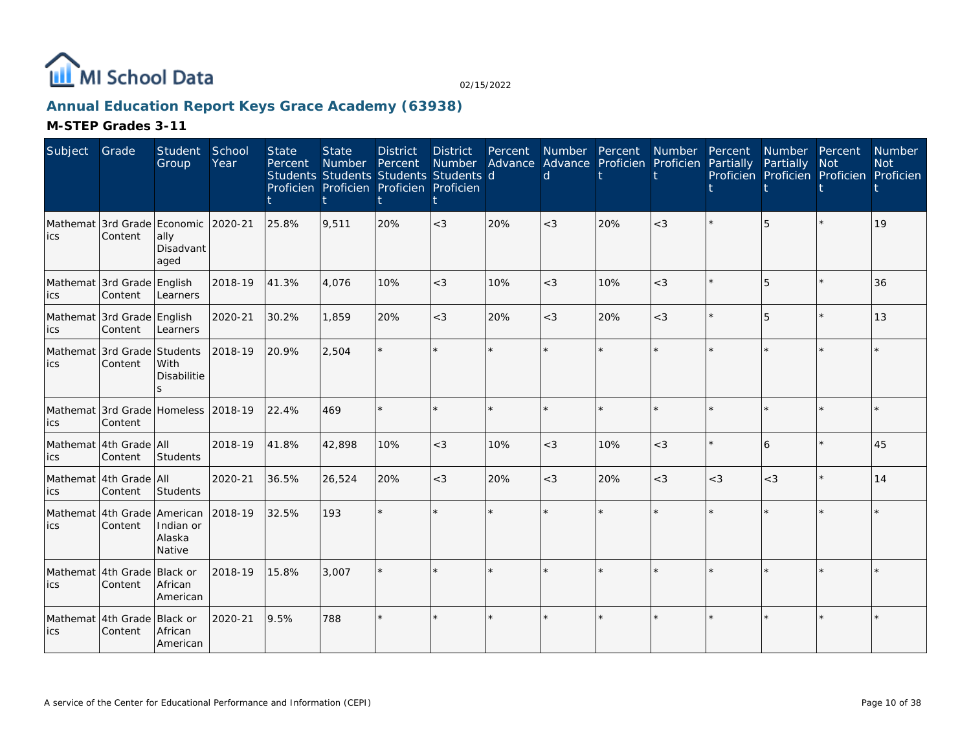

### **Annual Education Report Keys Grace Academy (63938)**

| Subject | Grade                                          | Student<br>Group                       | School<br>Year | <b>State</b><br>Percent | <b>State</b><br>Number<br>Students Students Students Students d<br>Proficien Proficien Proficien Proficien | <b>District</b><br>Percent | <b>District</b> | Percent | d     | Number Percent<br>Number Advance Advance Proficien Proficien | Number  | Percent<br>Partially | Number Percent<br>Partially<br>Proficien Proficien Proficien Proficien | <b>Not</b> | Number<br><b>Not</b> |
|---------|------------------------------------------------|----------------------------------------|----------------|-------------------------|------------------------------------------------------------------------------------------------------------|----------------------------|-----------------|---------|-------|--------------------------------------------------------------|---------|----------------------|------------------------------------------------------------------------|------------|----------------------|
| lics    | Mathemat 3rd Grade Economic<br>Content         | ally<br>Disadvant<br>aged              | 2020-21        | 25.8%                   | 9,511                                                                                                      | 20%                        | $<$ 3           | 20%     | $<$ 3 | 20%                                                          | $<$ 3   |                      |                                                                        |            | 19                   |
| ics     | Mathemat 3rd Grade English<br>Content          | Learners                               | 2018-19        | 41.3%                   | 4,076                                                                                                      | 10%                        | $<$ 3           | 10%     | $<$ 3 | 10%                                                          | $<$ 3   |                      | 5                                                                      | $\star$    | 36                   |
| ics     | Mathemat 3rd Grade English<br>Content          | Learners                               | 2020-21        | 30.2%                   | 1,859                                                                                                      | 20%                        | $<$ 3           | 20%     | $<$ 3 | 20%                                                          | $<$ 3   |                      | 5                                                                      | $\star$    | 13                   |
| lics    | Mathemat 3rd Grade Students<br>Content         | With<br>Disabilitie<br>S.              | 2018-19        | 20.9%                   | 2,504                                                                                                      |                            | $\star$         | ÷.      |       | $\star$                                                      | $\star$ |                      |                                                                        |            |                      |
| ics     | Mathemat 3rd Grade Homeless 2018-19<br>Content |                                        |                | 22.4%                   | 469                                                                                                        |                            | $\star$         | $\star$ |       | $\star$                                                      | $\star$ |                      |                                                                        | $\star$    |                      |
| ics     | Mathemat 4th Grade All<br>Content              | Students                               | 2018-19        | 41.8%                   | 42,898                                                                                                     | 10%                        | $<$ 3           | 10%     | $<$ 3 | 10%                                                          | $<$ 3   |                      | 6                                                                      | $\star$    | 45                   |
| ics     | Mathemat 4th Grade All<br>Content              | Students                               | 2020-21        | 36.5%                   | 26,524                                                                                                     | 20%                        | $<$ 3           | 20%     | $<$ 3 | 20%                                                          | $<$ 3   | $<$ 3                | $<$ 3                                                                  | $\star$    | 14                   |
| ics     | Mathemat 4th Grade American<br>Content         | Indian or<br>Alaska<br>Native          | 2018-19        | 32.5%                   | 193                                                                                                        |                            | $\star$         | ÷.      |       |                                                              | ÷.      |                      |                                                                        |            |                      |
| lics    | Mathemat 4th Grade<br>Content                  | <b>Black or</b><br>African<br>American | 2018-19        | 15.8%                   | 3.007                                                                                                      |                            |                 |         |       |                                                              |         |                      |                                                                        |            |                      |
| lics    | Mathemat 4th Grade<br>Content                  | Black or<br>African<br>American        | 2020-21        | 9.5%                    | 788                                                                                                        |                            | $\star$         |         |       | $\star$                                                      |         |                      |                                                                        |            |                      |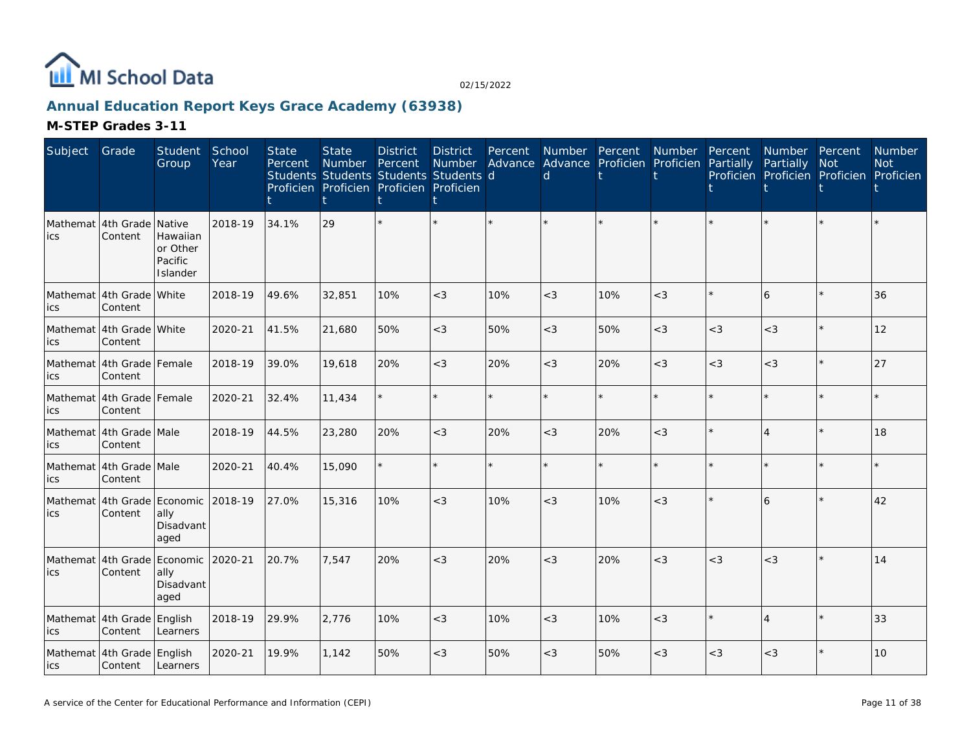

### **Annual Education Report Keys Grace Academy (63938)**

| Subject                             | Grade                                  | Student<br>Group                            | School<br>Year | <b>State</b><br>Percent | <b>State</b><br><b>Number</b><br>Students Students Students Students d<br>Proficien Proficien Proficien Proficien | <b>District</b><br>Percent | <b>District</b><br>Number<br>ŧ | Percent<br>Advance Advance Proficien Proficien | d     | Number Percent | Number  | Percent<br>Partially | Number Percent<br>Partially<br>Proficien Proficien Proficien Proficien | <b>Not</b> | <b>Number</b><br><b>Not</b> |
|-------------------------------------|----------------------------------------|---------------------------------------------|----------------|-------------------------|-------------------------------------------------------------------------------------------------------------------|----------------------------|--------------------------------|------------------------------------------------|-------|----------------|---------|----------------------|------------------------------------------------------------------------|------------|-----------------------------|
| <b>ics</b>                          | Mathemat 4th Grade Native<br>Content   | Hawaiian<br>or Other<br>Pacific<br>Islander | 2018-19        | 34.1%                   | 29                                                                                                                |                            |                                |                                                |       |                |         |                      |                                                                        |            |                             |
| ics                                 | Mathemat 4th Grade White<br>Content    |                                             | 2018-19        | 49.6%                   | 32,851                                                                                                            | 10%                        | $<$ 3                          | 10%                                            | $<$ 3 | 10%            | $<$ 3   |                      | 6                                                                      |            | 36                          |
| ics                                 | Mathemat 4th Grade White<br>Content    |                                             | 2020-21        | 41.5%                   | 21,680                                                                                                            | 50%                        | $<$ 3                          | 50%                                            | $<$ 3 | 50%            | $<$ 3   | $<$ 3                | $<$ 3                                                                  | $\star$    | 12                          |
| lics                                | Mathemat 4th Grade Female<br>Content   |                                             | 2018-19        | 39.0%                   | 19,618                                                                                                            | 20%                        | $<$ 3                          | 20%                                            | $<$ 3 | 20%            | $<$ 3   | $<$ 3                | $<$ 3                                                                  | $\star$    | 27                          |
| lics                                | Mathemat 4th Grade Female<br>Content   |                                             | 2020-21        | 32.4%                   | 11,434                                                                                                            |                            |                                | $\star$                                        |       |                | $\star$ |                      |                                                                        | ÷.         |                             |
| ics                                 | Mathemat 4th Grade Male<br>Content     |                                             | 2018-19        | 44.5%                   | 23,280                                                                                                            | 20%                        | $<$ 3                          | 20%                                            | $<$ 3 | 20%            | $<$ 3   |                      | 4                                                                      | $\star$    | 18                          |
| ics                                 | Mathemat 4th Grade Male<br>Content     |                                             | 2020-21        | 40.4%                   | 15,090                                                                                                            |                            |                                |                                                |       |                | $\star$ |                      |                                                                        |            |                             |
| ics                                 | Mathemat 4th Grade Economic<br>Content | ally<br>Disadvant<br>aged                   | 2018-19        | 27.0%                   | 15,316                                                                                                            | 10%                        | $<$ 3                          | 10%                                            | $<$ 3 | 10%            | $<$ 3   |                      | 6                                                                      |            | 42                          |
| Mathemat 4th Grade Economic<br>lics | Content                                | ally<br>Disadvant<br>aged                   | 2020-21        | 20.7%                   | 7.547                                                                                                             | 20%                        | $<$ 3                          | 20%                                            | $<$ 3 | 20%            | $<$ 3   | $<$ 3                | $<$ 3                                                                  | $\star$    | 14                          |
| lics                                | Mathemat 4th Grade English<br>Content  | Learners                                    | 2018-19        | 29.9%                   | 2.776                                                                                                             | 10%                        | $<$ 3                          | 10%                                            | $<$ 3 | 10%            | $<$ 3   |                      | 4                                                                      | $\star$    | 33                          |
| lics                                | Mathemat 4th Grade English<br>Content  | Learners                                    | 2020-21        | 19.9%                   | 1,142                                                                                                             | 50%                        | $<\!3$                         | 50%                                            | $<$ 3 | 50%            | $<$ 3   | $<$ 3                | $<\!3$                                                                 |            | 10                          |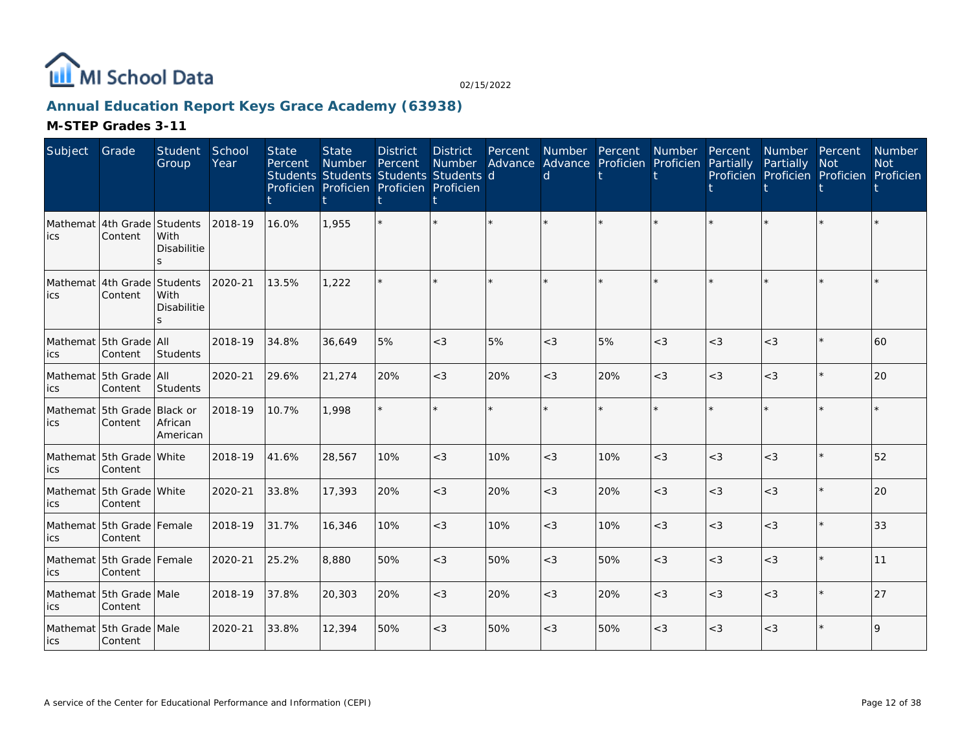

### **Annual Education Report Keys Grace Academy (63938)**

| Subject                             | Grade                                  | Student<br>Group                | School<br>Year | <b>State</b><br>Percent | <b>State</b><br>Number Percent | <b>District</b><br>Students Students Students Students d<br>Proficien Proficien Proficien Proficien | <b>District</b><br><b>Number</b> | Percent | Number Percent<br><sub>d</sub> | Advance Advance Proficien Proficien Partially | Number | Percent | Number Percent<br>Partially<br>Proficien Proficien Proficien Proficien | <b>Not</b> | Number<br><b>Not</b> |
|-------------------------------------|----------------------------------------|---------------------------------|----------------|-------------------------|--------------------------------|-----------------------------------------------------------------------------------------------------|----------------------------------|---------|--------------------------------|-----------------------------------------------|--------|---------|------------------------------------------------------------------------|------------|----------------------|
| lics                                | Mathemat 4th Grade Students<br>Content | With<br><b>Disabilitie</b>      | 2018-19        | 16.0%                   | 1,955                          |                                                                                                     |                                  |         |                                |                                               |        |         |                                                                        |            |                      |
| Mathemat 4th Grade Students<br>lics | Content                                | With<br><b>Disabilitie</b><br>S | 2020-21        | 13.5%                   | 1.222                          |                                                                                                     |                                  |         |                                |                                               |        |         |                                                                        | ÷.         |                      |
| ics                                 | Mathemat 5th Grade All<br>Content      | Students                        | 2018-19        | 34.8%                   | 36,649                         | 5%                                                                                                  | $<$ 3                            | 5%      | $<$ 3                          | 5%                                            | $<$ 3  | $<$ 3   | $<$ 3                                                                  | $\star$    | 60                   |
| lics                                | Mathemat 5th Grade All<br>Content      | Students                        | 2020-21        | 29.6%                   | 21,274                         | 20%                                                                                                 | $<$ 3                            | 20%     | $<$ 3                          | 20%                                           | $<$ 3  | $<$ 3   | $<$ 3                                                                  | ¥          | 20                   |
| lics                                | Mathemat 5th Grade Black or<br>Content | African<br>American             | 2018-19        | 10.7%                   | 1,998                          |                                                                                                     |                                  |         |                                |                                               |        |         |                                                                        |            |                      |
| lics                                | Mathemat 5th Grade White<br>Content    |                                 | 2018-19        | 41.6%                   | 28,567                         | 10%                                                                                                 | $<$ 3                            | 10%     | $<$ 3                          | 10%                                           | $<$ 3  | $<$ 3   | $<$ 3                                                                  | ¥          | 52                   |
| lics                                | Mathemat 5th Grade White<br>Content    |                                 | 2020-21        | 33.8%                   | 17,393                         | 20%                                                                                                 | $<$ 3                            | 20%     | $<$ 3                          | 20%                                           | $<$ 3  | $<$ 3   | $<$ 3                                                                  | $\star$    | 20                   |
| lics                                | Mathemat 5th Grade Female<br>Content   |                                 | 2018-19        | 31.7%                   | 16,346                         | 10%                                                                                                 | $<\!3$                           | 10%     | $<$ 3                          | 10%                                           | $<$ 3  | $<$ 3   | $<$ 3                                                                  | $\star$    | 33                   |
| lics                                | Mathemat 5th Grade Female<br>Content   |                                 | 2020-21        | 25.2%                   | 8,880                          | 50%                                                                                                 | $<$ 3                            | 50%     | $<$ 3                          | 50%                                           | $<$ 3  | $<$ 3   | $<$ 3                                                                  | ×.         | 11                   |
| lics                                | Mathemat 5th Grade Male<br>Content     |                                 | 2018-19        | 37.8%                   | 20,303                         | 20%                                                                                                 | $<$ 3                            | 20%     | $<$ 3                          | 20%                                           | $<$ 3  | $<$ 3   | $<$ 3                                                                  | $^{\star}$ | 27                   |
| lics                                | Mathemat 5th Grade Male<br>Content     |                                 | 2020-21        | 33.8%                   | 12,394                         | 50%                                                                                                 | $<\!3$                           | 50%     | $<$ 3                          | 50%                                           | $<$ 3  | $<$ 3   | $<$ 3                                                                  | $\star$    | $\mathsf Q$          |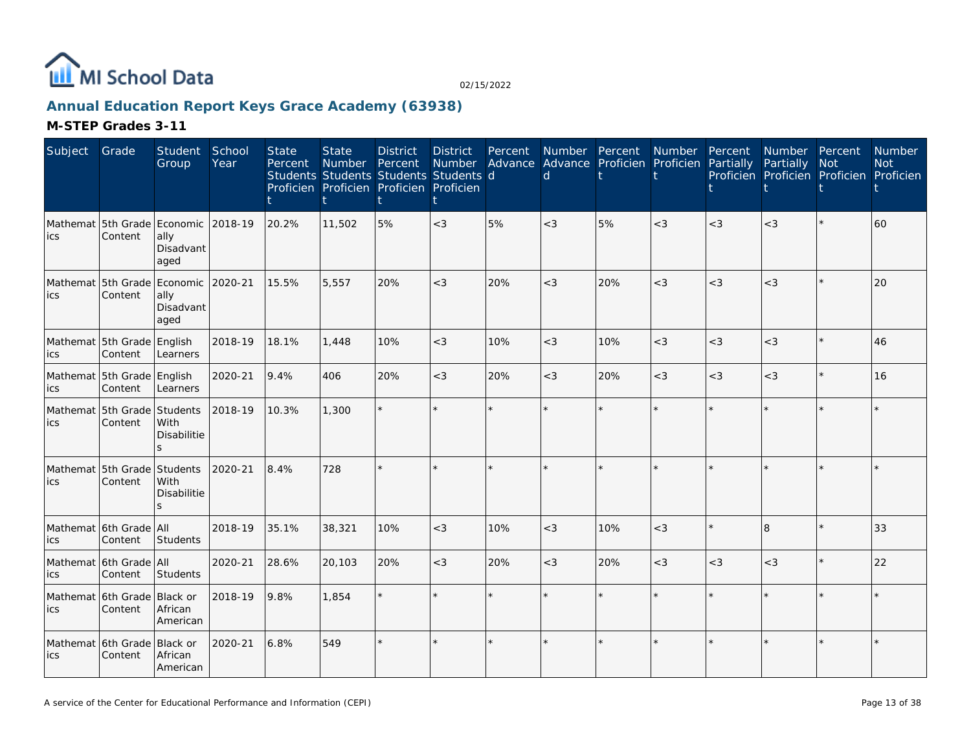

### **Annual Education Report Keys Grace Academy (63938)**

| Subject | Grade                                          | <b>Student</b><br>Group          | School<br>Year | <b>State</b><br>Percent | <b>State</b><br>Number | <b>District</b><br>Percent<br>Students Students Students Students d<br>Proficien Proficien Proficien Proficien | <b>District</b><br>Number | Percent<br>Advance | $\mathsf{d}$ | Number Percent<br>Advance Proficien Proficien | Number  | Percent<br>Partially | Number Percent<br>Partially | <b>Not</b><br>Proficien Proficien Proficien Proficien | Number<br><b>Not</b> |
|---------|------------------------------------------------|----------------------------------|----------------|-------------------------|------------------------|----------------------------------------------------------------------------------------------------------------|---------------------------|--------------------|--------------|-----------------------------------------------|---------|----------------------|-----------------------------|-------------------------------------------------------|----------------------|
| ics     | Mathemat 5th Grade Economic 2018-19<br>Content | ally<br>Disadvant<br>aged        |                | 20.2%                   | 11,502                 | 5%                                                                                                             | $<$ 3                     | 5%                 | $<$ 3        | 5%                                            | $<$ 3   | $<$ 3                | $<$ 3                       | $\star$                                               | 60                   |
| ics     | Mathemat 5th Grade Economic 2020-21<br>Content | ally<br>Disadvant<br>aged        |                | 15.5%                   | 5,557                  | 20%                                                                                                            | $<$ 3                     | 20%                | $<$ 3        | 20%                                           | $<$ 3   | $<$ 3                | $<$ 3                       | $\star$                                               | 20                   |
| ics     | Mathemat 5th Grade English<br>Content          | Learners                         | 2018-19        | 18.1%                   | 1,448                  | 10%                                                                                                            | $<$ 3                     | 10%                | $<$ 3        | 10%                                           | $<$ 3   | $<$ 3                | $<$ 3                       | $\star$                                               | 46                   |
| ics     | Mathemat 5th Grade English<br>Content          | Learners                         | 2020-21        | 9.4%                    | 406                    | 20%                                                                                                            | $<$ 3                     | 20%                | $<$ 3        | 20%                                           | $<$ 3   | $<$ 3                | $<$ 3                       | $\star$                                               | 16                   |
| ics     | Mathemat 5th Grade Students<br>Content         | With<br>Disabilitie              | 2018-19        | 10.3%                   | 1,300                  |                                                                                                                |                           |                    |              |                                               |         |                      |                             |                                                       |                      |
| lics    | Mathemat 5th Grade Students<br>Content         | With<br><b>Disabilitie</b><br>S. | 2020-21        | 8.4%                    | 728                    |                                                                                                                |                           |                    |              |                                               |         |                      |                             |                                                       |                      |
| ics     | Mathemat 6th Grade All<br>Content              | Students                         | 2018-19        | 35.1%                   | 38,321                 | 10%                                                                                                            | $<\!3$                    | 10%                | $<$ 3        | 10%                                           | $<$ 3   |                      | 8                           | $\star$                                               | 33                   |
| ics     | Mathemat 6th Grade All<br>Content              | Students                         | 2020-21        | 28.6%                   | 20,103                 | 20%                                                                                                            | $<$ 3                     | 20%                | $<$ 3        | 20%                                           | $<$ 3   | $<$ 3                | $<$ 3                       | $\star$                                               | 22                   |
| ics     | Mathemat 6th Grade<br>Content                  | Black or<br>African<br>American  | 2018-19        | 9.8%                    | 1.854                  |                                                                                                                |                           |                    |              |                                               |         |                      |                             | $\star$                                               |                      |
| ics     | Mathemat 6th Grade<br>Content                  | Black or<br>African<br>American  | 2020-21        | 6.8%                    | 549                    |                                                                                                                |                           |                    |              | $\star$                                       | $\star$ |                      | $\star$                     | $\star$                                               |                      |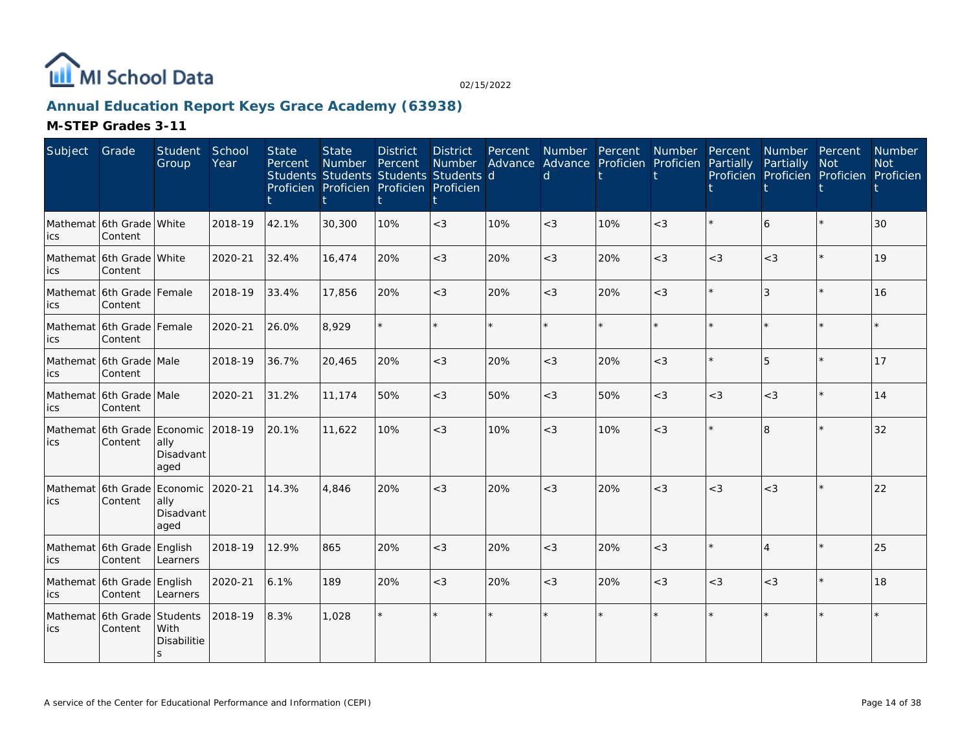

### **Annual Education Report Keys Grace Academy (63938)**

| Subject                                     | Grade                                  | Student<br>Group                    | School<br>Year | <b>State</b><br>Percent | <b>State</b><br>Number Percent<br>Students Students Students Students d<br>Proficien Proficien Proficien Proficien | <b>District</b> | District<br><b>Number</b> | Percent | Number Percent<br>d |     | Number Percent<br>Advance Advance Proficien Proficien Partially |       | Number Percent<br>Partially | <b>Not</b><br>Proficien Proficien Proficien Proficien | Number<br><b>Not</b> |
|---------------------------------------------|----------------------------------------|-------------------------------------|----------------|-------------------------|--------------------------------------------------------------------------------------------------------------------|-----------------|---------------------------|---------|---------------------|-----|-----------------------------------------------------------------|-------|-----------------------------|-------------------------------------------------------|----------------------|
| Mathemat 16th Grade White<br>ics            | Content                                |                                     | 2018-19        | 42.1%                   | 30,300                                                                                                             | 10%             | $<$ 3                     | 10%     | $<$ 3               | 10% | $<$ 3                                                           |       | 6                           |                                                       | 30                   |
| Mathemat 6th Grade White<br>lics            | Content                                |                                     | 2020-21        | 32.4%                   | 16,474                                                                                                             | 20%             | $<$ 3                     | 20%     | $<$ 3               | 20% | $<$ 3                                                           | $<$ 3 | $<$ 3                       | $\star$                                               | 19                   |
| Mathemat 6th Grade Female<br>lics           | Content                                |                                     | 2018-19        | 33.4%                   | 17,856                                                                                                             | 20%             | $<$ 3                     | 20%     | $<$ 3               | 20% | $<$ 3                                                           |       | 3                           | $\star$                                               | 16                   |
| Mathemat 6th Grade Female<br>lics           | Content                                |                                     | 2020-21        | 26.0%                   | 8,929                                                                                                              |                 |                           | $\star$ |                     |     | $\star$                                                         |       |                             |                                                       |                      |
| Mathemat 6th Grade Male<br>lics             | Content                                |                                     | 2018-19        | 36.7%                   | 20,465                                                                                                             | 20%             | $<$ 3                     | 20%     | $<$ 3               | 20% | $<$ 3                                                           |       | 5                           |                                                       | 17                   |
| Mathemat 6th Grade Male<br>lics             | Content                                |                                     | 2020-21        | 31.2%                   | 11,174                                                                                                             | 50%             | $<\!3$                    | 50%     | $<$ 3               | 50% | $<$ 3                                                           | $<$ 3 | $<\!3$                      | $\star$                                               | 14                   |
| ics                                         | Mathemat 6th Grade Economic<br>Content | ally<br>Disadvant<br>aged           | 2018-19        | 20.1%                   | 11,622                                                                                                             | 10%             | $<$ 3                     | 10%     | $<$ 3               | 10% | $<$ 3                                                           |       | $\overline{\mathsf{B}}$     |                                                       | 32                   |
| Mathemat 6th Grade Economic 2020-21<br>lics | Content                                | ally<br>Disadvant<br>aged           |                | 14.3%                   | 4,846                                                                                                              | 20%             | $<$ 3                     | 20%     | $<$ 3               | 20% | $<$ 3                                                           | $<$ 3 | $<$ 3                       |                                                       | 22                   |
| lics                                        | Mathemat 6th Grade English<br>Content  | Learners                            | 2018-19        | 12.9%                   | 865                                                                                                                | 20%             | $<$ 3                     | 20%     | $<$ 3               | 20% | $\lt3$                                                          |       | $\Delta$                    | $\star$                                               | 25                   |
| ics                                         | Mathemat 6th Grade English<br>Content  | Learners                            | 2020-21        | 6.1%                    | 189                                                                                                                | 20%             | $<$ 3                     | 20%     | $<$ 3               | 20% | $<$ 3                                                           | $<$ 3 | $<$ 3                       |                                                       | 18                   |
| ics                                         | Mathemat 6th Grade Students<br>Content | With<br>Disabilitie<br><sub>S</sub> | 2018-19        | 8.3%                    | 1,028                                                                                                              |                 |                           | $\star$ |                     |     | $\star$                                                         |       |                             |                                                       |                      |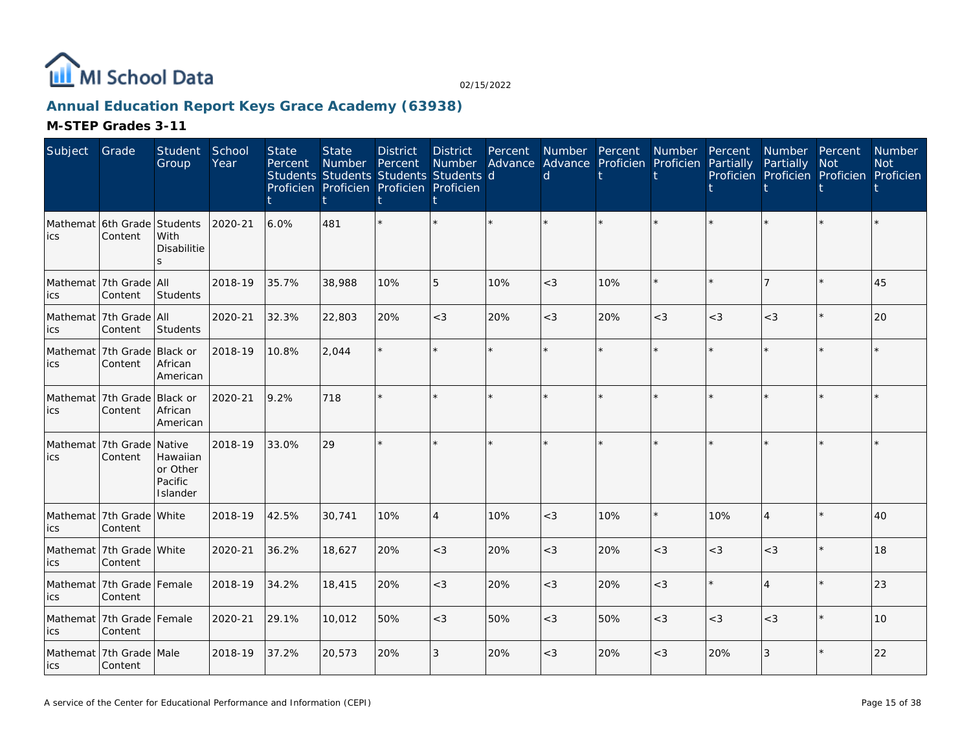

### **Annual Education Report Keys Grace Academy (63938)**

| Subject | Grade                                    | Student<br>Group                            | School<br>Year | State<br>Percent | <b>State</b><br>Number<br>Students Students Students Students d<br>Proficien Proficien Proficien Proficien | <b>District</b><br>Percent | <b>District</b><br><b>Number</b> | Percent | Advance Advance Proficien Proficien<br>d | Number Percent | Number Percent | Partially | Number Percent<br>Partially<br>Proficien Proficien Proficien Proficien | <b>Not</b> | Number<br><b>Not</b> |
|---------|------------------------------------------|---------------------------------------------|----------------|------------------|------------------------------------------------------------------------------------------------------------|----------------------------|----------------------------------|---------|------------------------------------------|----------------|----------------|-----------|------------------------------------------------------------------------|------------|----------------------|
| ics     | Mathemat 6th Grade Students<br>Content   | With<br>Disabilitie                         | 2020-21        | 6.0%             | 481                                                                                                        |                            | $\star$                          |         |                                          |                |                |           |                                                                        |            |                      |
| ics     | Mathemat 7th Grade All<br>Content        | Students                                    | 2018-19        | 35.7%            | 38,988                                                                                                     | 10%                        | 5                                | 10%     | $<$ 3                                    | 10%            | $\star$        |           | 17                                                                     | $\star$    | 45                   |
| ics     | Mathemat 7th Grade All<br>Content        | Students                                    | 2020-21        | 32.3%            | 22,803                                                                                                     | 20%                        | $<$ 3                            | 20%     | $<$ 3                                    | 20%            | $<$ 3          | $<$ 3     | $<\!3$                                                                 | $\star$    | 20                   |
| ics     | Mathemat 7th Grade Black or<br>Content   | African<br>American                         | 2018-19        | 10.8%            | 2.044                                                                                                      |                            | $\star$                          | $\star$ |                                          |                | $\star$        | ÷         |                                                                        | $\star$    |                      |
| ics     | Mathemat 7th Grade Black or<br>Content   | African<br>American                         | 2020-21        | 9.2%             | 718                                                                                                        |                            | $\star$                          | $\star$ | ÷                                        |                | $\star$        |           |                                                                        | $\star$    |                      |
| ics     | Mathemat 7th Grade Native<br>Content     | Hawaiian<br>or Other<br>Pacific<br>Islander | 2018-19        | 33.0%            | 29                                                                                                         | ÷                          | $\star$                          | ÷.      |                                          |                | $\star$        |           |                                                                        | $\star$    |                      |
| ics     | Mathemat 7th Grade White<br>Content      |                                             | 2018-19        | 42.5%            | 30,741                                                                                                     | 10%                        | $\overline{4}$                   | 10%     | $<$ 3                                    | 10%            | $\star$        | 10%       | $\overline{4}$                                                         | $\star$    | 40                   |
| ics     | Mathemat 7th Grade White<br>Content      |                                             | 2020-21        | 36.2%            | 18,627                                                                                                     | 20%                        | $<$ 3                            | 20%     | $<$ 3                                    | 20%            | $<$ 3          | $<$ 3     | $<$ 3                                                                  |            | 18                   |
| ics     | Mathemat 7th Grade Female<br>Content     |                                             | 2018-19        | 34.2%            | 18,415                                                                                                     | 20%                        | $<$ 3                            | 20%     | $<$ 3                                    | 20%            | $<$ 3          |           | $\overline{4}$                                                         | $\star$    | 23                   |
| ics     | Mathemat   7th Grade   Female<br>Content |                                             | 2020-21        | 29.1%            | 10,012                                                                                                     | 50%                        | $<$ 3                            | 50%     | $<$ 3                                    | 50%            | $<$ 3          | $<$ 3     | $<$ 3                                                                  | $\star$    | 10                   |
| lics    | Mathemat 7th Grade Male<br>Content       |                                             | 2018-19        | 37.2%            | 20,573                                                                                                     | 20%                        | 3                                | 20%     | $<$ 3                                    | 20%            | $<$ 3          | 20%       | 3                                                                      |            | 22                   |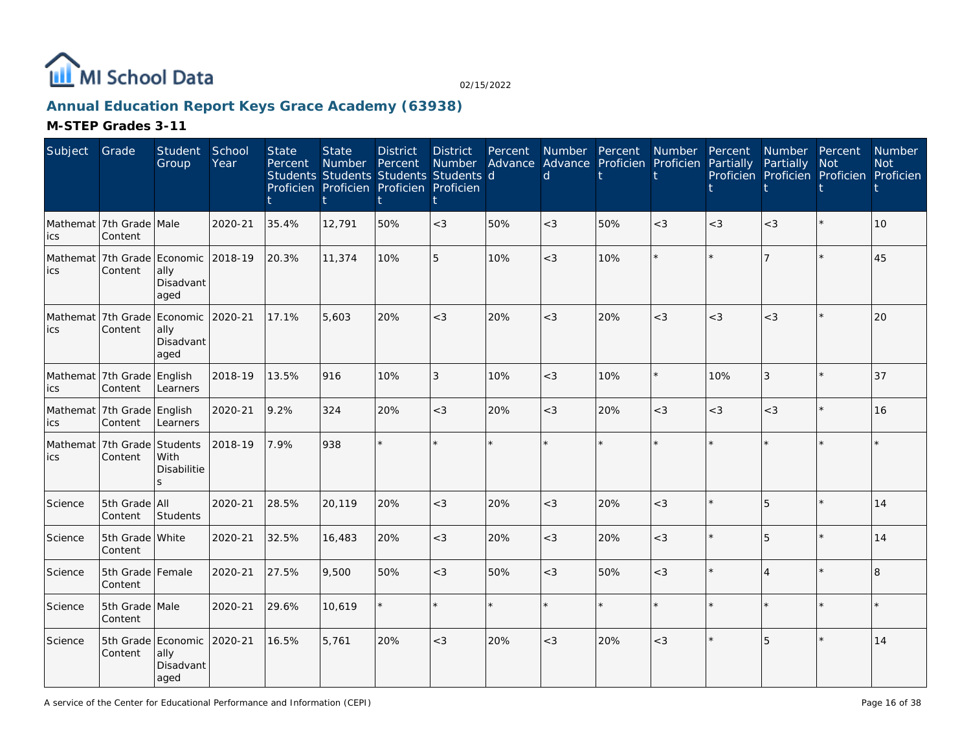

### **Annual Education Report Keys Grace Academy (63938)**

| Subject | Grade                                          | <b>Student</b><br>Group                         | School<br>Year | <b>State</b><br>Percent | <b>State</b><br>Number<br>Students Students Students Students d<br>Proficien Proficien Proficien Proficien | <b>District</b><br>Percent | <b>District</b><br>Number | Percent | d     | Number Percent Number<br>Advance Advance Proficien Proficien |         | Percent<br>Partially | Number Percent<br>Partially<br>Proficien Proficien Proficien Proficien | <b>Not</b> | Number<br><b>Not</b> |
|---------|------------------------------------------------|-------------------------------------------------|----------------|-------------------------|------------------------------------------------------------------------------------------------------------|----------------------------|---------------------------|---------|-------|--------------------------------------------------------------|---------|----------------------|------------------------------------------------------------------------|------------|----------------------|
| ics     | Mathemat   7th Grade   Male<br>Content         |                                                 | 2020-21        | 35.4%                   | 12,791                                                                                                     | 50%                        | $<$ 3                     | 50%     | $<$ 3 | 50%                                                          | $<$ 3   | $<$ 3                | $<$ 3                                                                  | $\star$    | 10                   |
| ics     | Mathemat 7th Grade Economic 2018-19<br>Content | ally<br>Disadvant<br>aged                       |                | 20.3%                   | 11,374                                                                                                     | 10%                        | 5                         | 10%     | $<$ 3 | 10%                                                          | $\star$ |                      | $\overline{7}$                                                         | $\star$    | 45                   |
| ics     | Mathemat 7th Grade<br>Content                  | Economic<br>ally<br>Disadvant<br>aged           | 2020-21        | 17.1%                   | 5,603                                                                                                      | 20%                        | $<$ 3                     | 20%     | $<$ 3 | 20%                                                          | $<\!3$  | $<$ 3                | $<$ 3                                                                  |            | 20                   |
| ics     | Mathemat 7th Grade<br>Content                  | English<br>Learners                             | 2018-19        | 13.5%                   | 916                                                                                                        | 10%                        | 3                         | 10%     | $<$ 3 | 10%                                                          | $\star$ | 10%                  | 3                                                                      | $\star$    | 37                   |
| ics     | Mathemat 7th Grade English<br>Content          | Learners                                        | 2020-21        | 9.2%                    | 324                                                                                                        | 20%                        | $<$ 3                     | 20%     | $<$ 3 | 20%                                                          | $<$ 3   | $<$ 3                | $<$ 3                                                                  | $\star$    | 16                   |
| ics     | Mathemat 7th Grade<br>Content                  | Students<br>With<br>Disabilitie                 | 2018-19        | 7.9%                    | 938                                                                                                        |                            | $\star$                   |         |       | $\star$                                                      |         |                      |                                                                        |            |                      |
| Science | 5th Grade All<br>Content                       | Students                                        | 2020-21        | 28.5%                   | 20.119                                                                                                     | 20%                        | $<$ 3                     | 20%     | $<$ 3 | 20%                                                          | $<$ 3   |                      | 5                                                                      | $\star$    | 14                   |
| Science | 5th Grade White<br>Content                     |                                                 | 2020-21        | 32.5%                   | 16,483                                                                                                     | 20%                        | $<$ 3                     | 20%     | $<$ 3 | 20%                                                          | $<$ 3   |                      | 5                                                                      | $\star$    | 14                   |
| Science | 5th Grade Female<br>Content                    |                                                 | 2020-21        | 27.5%                   | 9,500                                                                                                      | 50%                        | $<$ 3                     | 50%     | $<$ 3 | 50%                                                          | $<$ 3   |                      | $\Delta$                                                               | $\star$    | 8                    |
| Science | 5th Grade Male<br>Content                      |                                                 | 2020-21        | 29.6%                   | 10,619                                                                                                     |                            | $\star$                   | ÷.      |       | $\star$                                                      | ÷.      |                      |                                                                        | ÷.         |                      |
| Science | Content                                        | 5th Grade Economic<br>ally<br>Disadvant<br>aged | 2020-21        | 16.5%                   | 5,761                                                                                                      | 20%                        | $<$ 3                     | 20%     | $<$ 3 | 20%                                                          | $<$ 3   |                      | 5                                                                      |            | 14                   |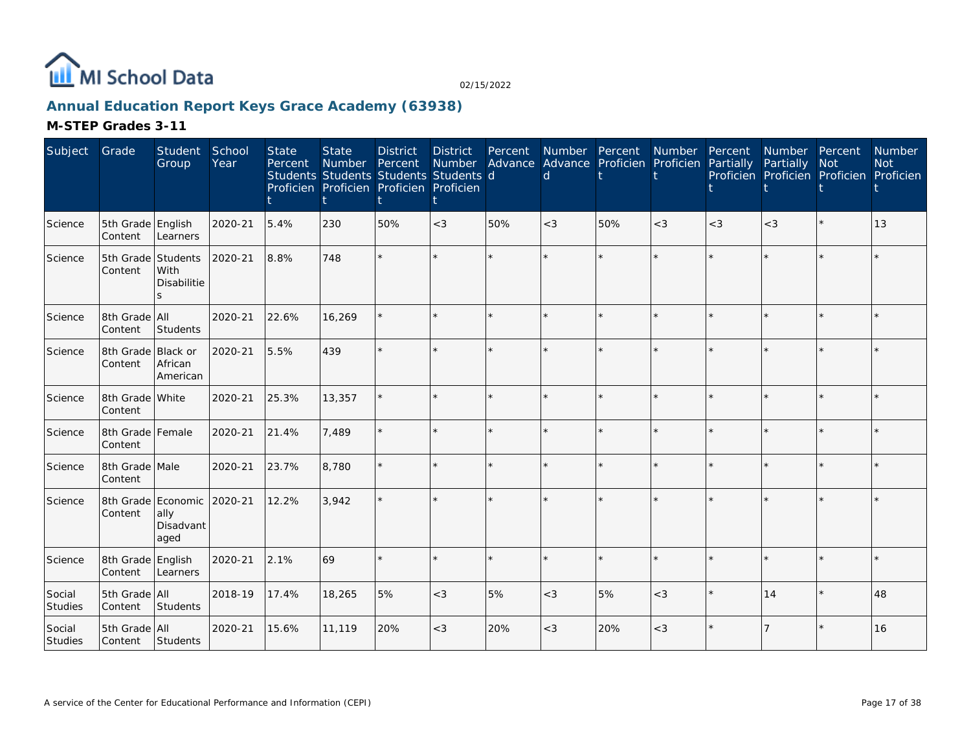

### **Annual Education Report Keys Grace Academy (63938)**

| Subject           | Grade                         | Student<br>Group                                | School<br>Year | <b>State</b><br>Percent | <b>State</b><br>Number<br>Students Students Students Students d<br>Proficien Proficien Proficien Proficien | <b>District</b><br>Percent | <b>District</b><br>Number | Percent | d       | Number Percent<br>Advance Advance Proficien Proficien | Number Percent | Partially | Number Percent<br>Partially<br>Proficien Proficien Proficien Proficien | <b>Not</b> | Number<br><b>Not</b> |
|-------------------|-------------------------------|-------------------------------------------------|----------------|-------------------------|------------------------------------------------------------------------------------------------------------|----------------------------|---------------------------|---------|---------|-------------------------------------------------------|----------------|-----------|------------------------------------------------------------------------|------------|----------------------|
| Science           | 5th Grade English<br>Content  | Learners                                        | 2020-21        | 5.4%                    | 230                                                                                                        | 50%                        | $<\!3$                    | 50%     | $<$ 3   | 50%                                                   | $<$ 3          | $<$ 3     | $<$ 3                                                                  |            | 13                   |
| Science           | 5th Grade Students<br>Content | <b>With</b><br>Disabilitie<br>$\leq$            | 2020-21        | 8.8%                    | 748                                                                                                        |                            | $\star$                   | $\star$ |         |                                                       | $\star$        |           |                                                                        |            |                      |
| Science           | 8th Grade All<br>Content      | Students                                        | 2020-21        | 22.6%                   | 16,269                                                                                                     |                            | $\star$                   | ÷.      | $\star$ |                                                       | $\star$        | ÷         |                                                                        | $\star$    |                      |
| Science           | 8th Grade Black or<br>Content | African<br>American                             | 2020-21        | 5.5%                    | 439                                                                                                        |                            | ÷.                        |         |         |                                                       |                |           |                                                                        | $\star$    |                      |
| Science           | 8th Grade White<br>Content    |                                                 | 2020-21        | 25.3%                   | 13,357                                                                                                     |                            | $\star$                   | ÷.      |         |                                                       | $\star$        |           |                                                                        | $\star$    |                      |
| Science           | 8th Grade Female<br>Content   |                                                 | 2020-21        | 21.4%                   | 7,489                                                                                                      |                            | ÷.                        |         |         |                                                       | $\star$        |           |                                                                        | ÷          |                      |
| Science           | 8th Grade Male<br>Content     |                                                 | 2020-21        | 23.7%                   | 8,780                                                                                                      |                            | $\star$                   | $\star$ |         |                                                       | $\star$        |           |                                                                        | $\star$    |                      |
| Science           | Content                       | 8th Grade Economic<br>ally<br>Disadvant<br>aged | 2020-21        | 12.2%                   | 3,942                                                                                                      |                            | ÷.                        |         |         |                                                       | $\star$        |           |                                                                        | ÷          |                      |
| Science           | 8th Grade English<br>Content  | Learners                                        | 2020-21        | 2.1%                    | 69                                                                                                         |                            | $\star$                   | $\star$ |         |                                                       | $\star$        |           |                                                                        | ÷          |                      |
| Social<br>Studies | 5th Grade All<br>Content      | Students                                        | 2018-19        | 17.4%                   | 18,265                                                                                                     | 5%                         | $<\!3$                    | 5%      | $<$ 3   | 5%                                                    | $<$ 3          |           | 14                                                                     | $\star$    | 48                   |
| Social<br>Studies | 5th Grade All<br>Content      | Students                                        | 2020-21        | 15.6%                   | 11,119                                                                                                     | 20%                        | $<\!3$                    | 20%     | $<$ 3   | 20%                                                   | $<$ 3          |           |                                                                        |            | 16                   |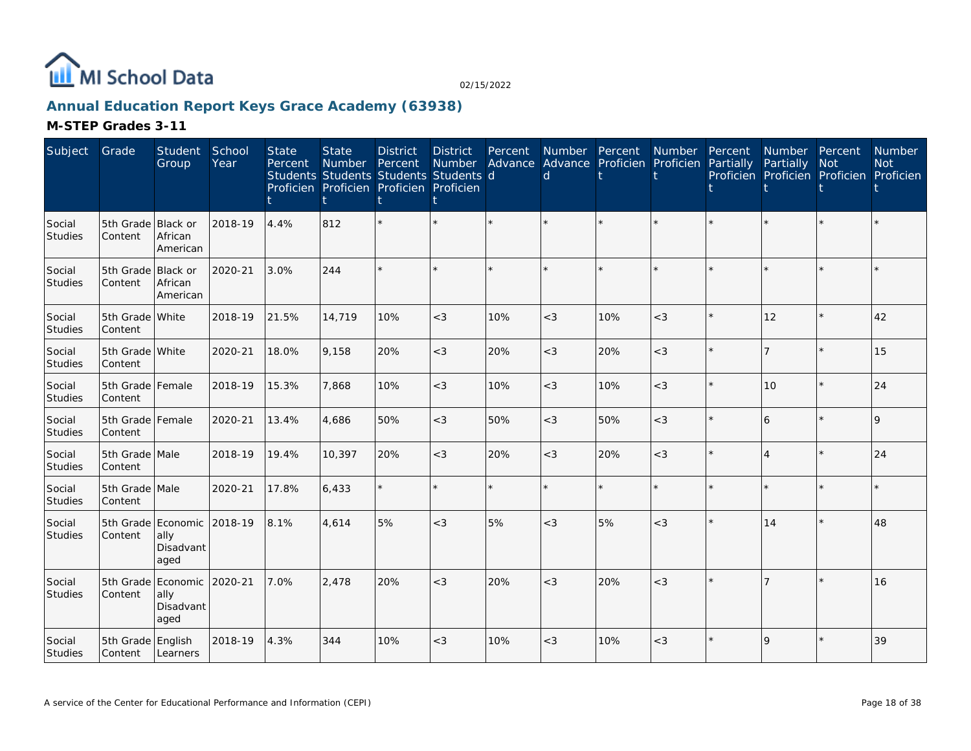

### **Annual Education Report Keys Grace Academy (63938)**

| Subject                  | Grade                         | Student<br>Group                                | School<br>Year | <b>State</b><br>Percent | <b>State</b><br><b>Number</b><br>Students Students Students Students d<br>Proficien Proficien Proficien Proficien | <b>District</b><br>Percent | <b>District</b><br>Number | Percent | Number Percent<br>Advance Advance Proficien Proficien<br>d |     | Number Percent | Partially | Number Percent<br>Partially<br>Proficien Proficien Proficien Proficien | <b>Not</b> | <b>Number</b><br><b>Not</b> |
|--------------------------|-------------------------------|-------------------------------------------------|----------------|-------------------------|-------------------------------------------------------------------------------------------------------------------|----------------------------|---------------------------|---------|------------------------------------------------------------|-----|----------------|-----------|------------------------------------------------------------------------|------------|-----------------------------|
| Social<br>Studies        | 5th Grade Black or<br>Content | African<br>American                             | 2018-19        | 4.4%                    | 812                                                                                                               |                            |                           |         |                                                            |     |                |           |                                                                        |            |                             |
| Social<br><b>Studies</b> | 5th Grade<br>Content          | Black or<br>African<br>American                 | 2020-21        | 3.0%                    | 244                                                                                                               |                            |                           | $\star$ | ÷                                                          |     |                |           |                                                                        |            |                             |
| Social<br>Studies        | 5th Grade White<br>Content    |                                                 | 2018-19        | 21.5%                   | 14,719                                                                                                            | 10%                        | $<$ 3                     | 10%     | $<$ 3                                                      | 10% | $<$ 3          |           | 12                                                                     |            | 42                          |
| Social<br><b>Studies</b> | 5th Grade White<br>Content    |                                                 | 2020-21        | 18.0%                   | 9,158                                                                                                             | 20%                        | $<$ 3                     | 20%     | $<$ 3                                                      | 20% | $<$ 3          |           | 7                                                                      |            | 15                          |
| Social<br><b>Studies</b> | 5th Grade Female<br>Content   |                                                 | 2018-19        | 15.3%                   | 7.868                                                                                                             | 10%                        | $<$ 3                     | 10%     | $<$ 3                                                      | 10% | $<$ 3          |           | 10                                                                     | $\star$    | 24                          |
| Social<br><b>Studies</b> | 5th Grade Female<br>Content   |                                                 | 2020-21        | 13.4%                   | 4,686                                                                                                             | 50%                        | $<\!3$                    | 50%     | $<$ 3                                                      | 50% | $<$ 3          |           | 6                                                                      | $\star$    | 9                           |
| Social<br>Studies        | 5th Grade Male<br>Content     |                                                 | 2018-19        | 19.4%                   | 10,397                                                                                                            | 20%                        | $<$ 3                     | 20%     | $<$ 3                                                      | 20% | $<$ 3          |           | Δ                                                                      | $\star$    | 24                          |
| Social<br>Studies        | 5th Grade Male<br>Content     |                                                 | 2020-21        | 17.8%                   | 6,433                                                                                                             |                            | $\star$                   | $\star$ |                                                            |     | $\star$        |           |                                                                        | $\star$    |                             |
| Social<br>Studies        | Content                       | 5th Grade Economic<br>ally<br>Disadvant<br>aged | 2018-19        | 8.1%                    | 4,614                                                                                                             | 5%                         | $<$ 3                     | 5%      | $<$ 3                                                      | 5%  | $<$ 3          |           | 14                                                                     | $\star$    | 48                          |
| Social<br><b>Studies</b> | 5th Grade<br>Content          | Economic<br>ally<br>Disadvant<br>aged           | 2020-21        | 7.0%                    | 2,478                                                                                                             | 20%                        | $<$ 3                     | 20%     | $<$ 3                                                      | 20% | $<$ 3          |           |                                                                        |            | 16                          |
| Social<br>Studies        | 5th Grade English<br>Content  | Learners                                        | 2018-19        | 4.3%                    | 344                                                                                                               | 10%                        | $<$ 3                     | 10%     | $<$ 3                                                      | 10% | $<$ 3          |           | $\overline{Q}$                                                         |            | 39                          |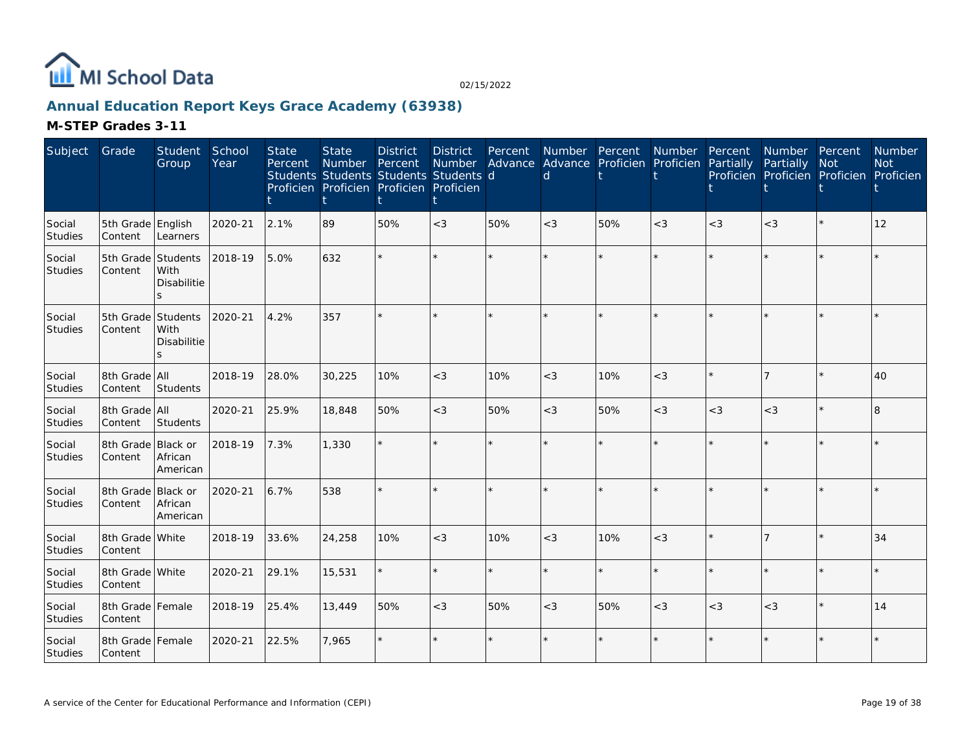

### **Annual Education Report Keys Grace Academy (63938)**

| Subject                  | Grade                         | Student<br>Group                     | School<br>Year | <b>State</b><br>Percent | <b>State</b><br>Number<br>Students Students Students Students d<br>Proficien Proficien Proficien Proficien | <b>District</b><br>Percent | <b>District</b><br>Number | Percent | Number Percent<br>Advance Advance Proficien Proficien<br>d |     | Number Percent | Partially | Number Percent<br>Partially<br>Proficien Proficien Proficien Proficien | <b>Not</b> | Number<br><b>Not</b> |
|--------------------------|-------------------------------|--------------------------------------|----------------|-------------------------|------------------------------------------------------------------------------------------------------------|----------------------------|---------------------------|---------|------------------------------------------------------------|-----|----------------|-----------|------------------------------------------------------------------------|------------|----------------------|
| Social<br>Studies        | 5th Grade English<br>Content  | Learners                             | 2020-21        | 2.1%                    | 89                                                                                                         | 50%                        | $<$ 3                     | 50%     | $<$ 3                                                      | 50% | $<$ 3          | $<$ 3     | $<$ 3                                                                  | $\star$    | 12                   |
| Social<br>Studies        | 5th Grade Students<br>Content | With<br>Disabilitie<br>S             | 2018-19        | 5.0%                    | 632                                                                                                        | ÷                          | $\star$                   | ÷.      |                                                            |     | $\star$        |           |                                                                        | $\star$    |                      |
| Social<br>Studies        | 5th Grade Students<br>Content | With<br>Disabilitie<br>$\mathcal{S}$ | 2020-21        | 4.2%                    | 357                                                                                                        |                            | ÷.                        |         |                                                            |     | $\star$        |           |                                                                        |            |                      |
| Social<br>Studies        | 8th Grade All<br>Content      | Students                             | 2018-19        | 28.0%                   | 30,225                                                                                                     | 10%                        | $<$ 3                     | 10%     | $\lt3$                                                     | 10% | $<$ 3          |           |                                                                        | ÷          | 40                   |
| Social<br>Studies        | 8th Grade All<br>Content      | Students                             | 2020-21        | 25.9%                   | 18,848                                                                                                     | 50%                        | $<$ 3                     | 50%     | $<$ 3                                                      | 50% | $<$ 3          | $<$ 3     | $<$ 3                                                                  | $\star$    | 8                    |
| Social<br>Studies        | 8th Grade Black or<br>Content | African<br>American                  | 2018-19        | 7.3%                    | 1,330                                                                                                      |                            | $\star$                   |         |                                                            |     | $\star$        |           |                                                                        | ÷          |                      |
| Social<br><b>Studies</b> | 8th Grade Black or<br>Content | African<br>American                  | 2020-21        | 6.7%                    | 538                                                                                                        |                            | $\star$                   |         |                                                            |     |                |           |                                                                        | $\star$    |                      |
| Social<br><b>Studies</b> | 8th Grade White<br>Content    |                                      | 2018-19        | 33.6%                   | 24,258                                                                                                     | 10%                        | $<$ 3                     | 10%     | $<$ 3                                                      | 10% | $<$ 3          |           |                                                                        | ÷          | 34                   |
| Social<br>Studies        | 8th Grade White<br>Content    |                                      | 2020-21        | 29.1%                   | 15,531                                                                                                     |                            | $\star$                   | $\star$ |                                                            |     | $\star$        |           |                                                                        | $\star$    |                      |
| Social<br>Studies        | 8th Grade Female<br>Content   |                                      | 2018-19        | 25.4%                   | 13,449                                                                                                     | 50%                        | $<$ 3                     | 50%     | $<$ 3                                                      | 50% | $<$ 3          | $<$ 3     | $<$ 3                                                                  | $\star$    | 14                   |
| Social<br>Studies        | 8th Grade Female<br>Content   |                                      | 2020-21        | 22.5%                   | 7,965                                                                                                      |                            | $\star$                   |         |                                                            |     | $\star$        |           |                                                                        | ÷          |                      |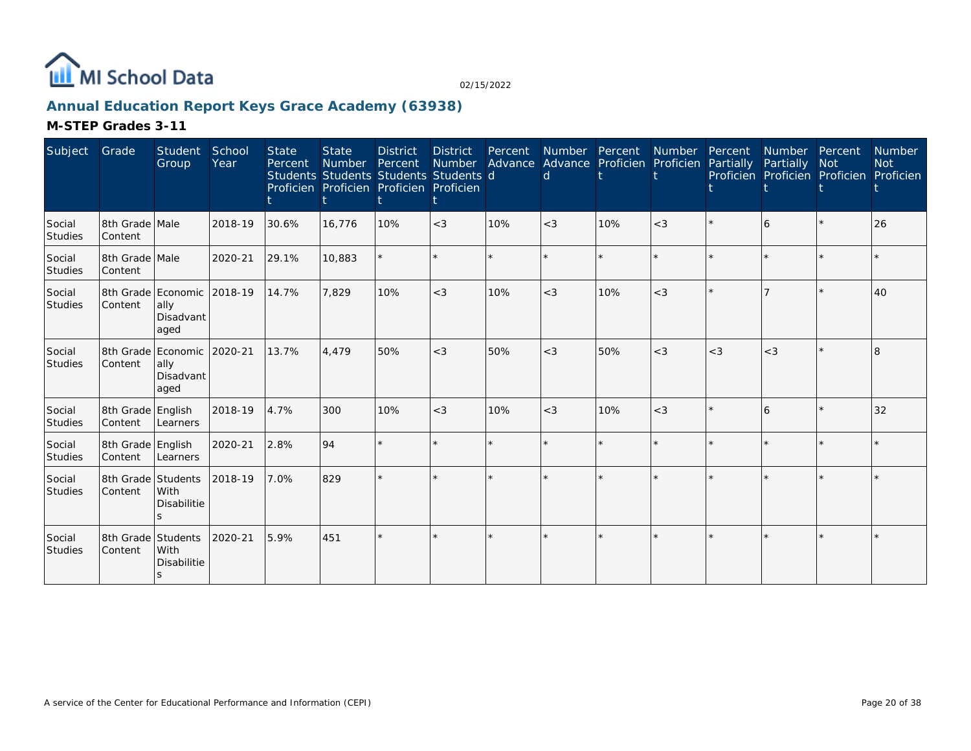

### **Annual Education Report Keys Grace Academy (63938)**

| Subject                  | Grade                                 | Student<br>Group                  | School<br>Year | <b>State</b><br>Percent | <b>State</b><br>Number<br>Students Students Students Students d<br>Proficien Proficien Proficien Proficien | <b>District</b><br>Percent | District<br>Number | Percent | Number Percent Number Percent<br>Advance Advance Proficien Proficien Partially<br>d |     |         |       | Number Percent<br>Partially Not<br>Proficien Proficien Proficien Proficien |         | Number<br><b>Not</b> |
|--------------------------|---------------------------------------|-----------------------------------|----------------|-------------------------|------------------------------------------------------------------------------------------------------------|----------------------------|--------------------|---------|-------------------------------------------------------------------------------------|-----|---------|-------|----------------------------------------------------------------------------|---------|----------------------|
| Social<br>Studies        | 8th Grade Male<br>Content             |                                   | 2018-19        | 30.6%                   | 16,776                                                                                                     | 10%                        | $<$ 3              | 10%     | $<$ 3                                                                               | 10% | $<$ 3   |       | 6                                                                          | $\star$ | 26                   |
| Social<br><b>Studies</b> | 8th Grade Male<br>Content             |                                   | 2020-21        | 29.1%                   | 10,883                                                                                                     |                            | ÷.                 | $\star$ | ÷                                                                                   |     | $\star$ |       |                                                                            | $\star$ |                      |
| Social<br>Studies        | 8th Grade Economic<br>Content         | ally<br>Disadvant<br>aged         | 2018-19        | 14.7%                   | 7,829                                                                                                      | 10%                        | $<$ 3              | 10%     | $<$ 3                                                                               | 10% | $<$ 3   |       |                                                                            | $\star$ | 40                   |
| Social<br>Studies        | 8th Grade Economic 2020-21<br>Content | ally<br>Disadvant<br>aged         |                | 13.7%                   | 4.479                                                                                                      | 50%                        | $<$ 3              | 50%     | $<$ 3                                                                               | 50% | $<$ 3   | $<$ 3 | $<$ 3                                                                      | $\star$ | 8                    |
| Social<br>Studies        | 8th Grade English<br>Content          | Learners                          | 2018-19        | 4.7%                    | 300                                                                                                        | 10%                        | $<$ 3              | 10%     | $<$ 3                                                                               | 10% | $<$ 3   |       | 6                                                                          | $\star$ | 32                   |
| Social<br><b>Studies</b> | 8th Grade English<br>Content          | Learners                          | 2020-21        | 2.8%                    | 94                                                                                                         |                            |                    | $\star$ |                                                                                     |     | ÷.      |       |                                                                            | ÷.      |                      |
| Social<br>Studies        | 8th Grade Students<br>Content         | <b>With</b><br><b>Disabilitie</b> | 2018-19        | 7.0%                    | 829                                                                                                        |                            |                    |         |                                                                                     |     | $\star$ |       |                                                                            |         |                      |
| Social<br>Studies        | 8th Grade Students<br>Content         | With<br><b>Disabilitie</b><br>S.  | 2020-21        | 5.9%                    | 451                                                                                                        |                            | $\star$            |         |                                                                                     |     |         |       |                                                                            | $\star$ |                      |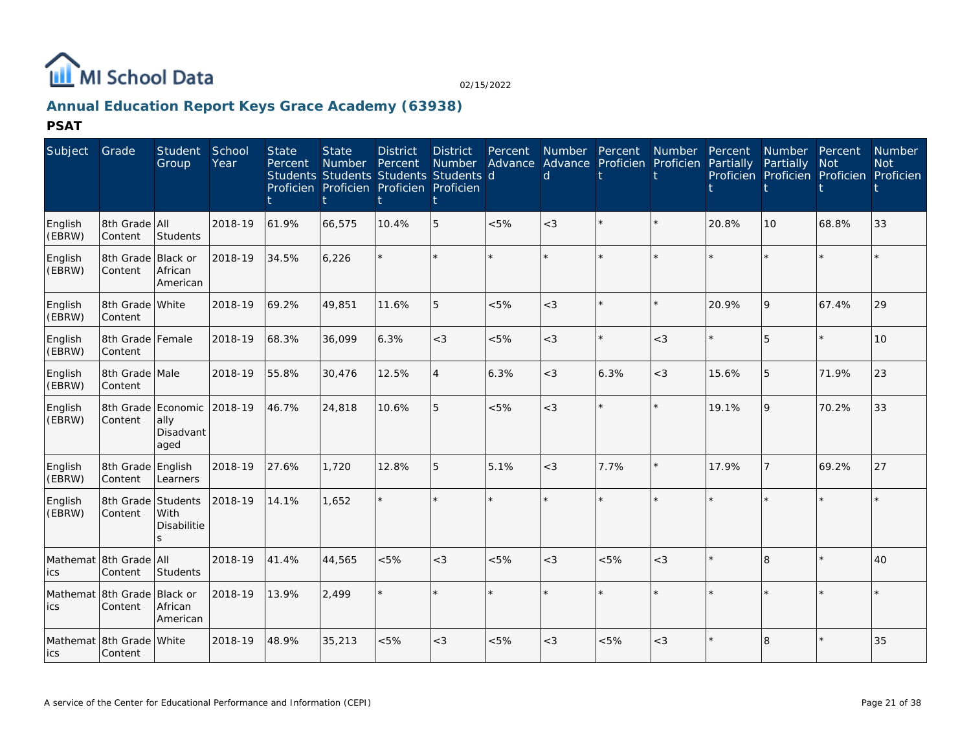

## **Annual Education Report Keys Grace Academy (63938)**

**PSAT**

| Subject                       | Grade                                  | <b>Student</b><br>Group                         | School<br>Year | <b>State</b><br>Percent | <b>State</b><br>Number | <b>District</b><br>Percent<br>Students Students Students Students d<br>Proficien Proficien Proficien Proficien | <b>District</b><br><b>Number</b> | Percent | Number Percent<br><sub>d</sub> | Advance Advance Proficien Proficien | Number  | Percent<br>Partially | <b>Number</b><br>Partially | Percent<br><b>Not</b><br>Proficien Proficien Proficien | <b>Number</b><br><b>Not</b><br>Proficien |
|-------------------------------|----------------------------------------|-------------------------------------------------|----------------|-------------------------|------------------------|----------------------------------------------------------------------------------------------------------------|----------------------------------|---------|--------------------------------|-------------------------------------|---------|----------------------|----------------------------|--------------------------------------------------------|------------------------------------------|
| English<br>(EBRW)             | 8th Grade All<br>Content               | Students                                        | 2018-19        | 61.9%                   | 66,575                 | 10.4%                                                                                                          | 5                                | < 5%    | $<$ 3                          |                                     | $\star$ | 20.8%                | 10                         | 68.8%                                                  | 33                                       |
| English<br>(EBRW)             | 8th Grade Black or<br>Content          | African<br>American                             | 2018-19        | 34.5%                   | 6,226                  |                                                                                                                | $\star$                          | $\star$ |                                |                                     | $\star$ |                      |                            | $\star$                                                |                                          |
| English<br>(EBRW)             | 8th Grade White<br>Content             |                                                 | 2018-19        | 69.2%                   | 49,851                 | 11.6%                                                                                                          | 5                                | < 5%    | $<$ 3                          |                                     | $\Phi$  | 20.9%                | 9                          | 67.4%                                                  | 29                                       |
| English<br>(EBRW)             | 8th Grade Female<br>Content            |                                                 | 2018-19        | 68.3%                   | 36,099                 | 6.3%                                                                                                           | $<$ 3                            | < 5%    | $<$ 3                          |                                     | $<$ 3   | ÷                    | 5                          | $\star$                                                | 10 <sup>1</sup>                          |
| English<br>(EBRW)             | 8th Grade Male<br>Content              |                                                 | 2018-19        | 55.8%                   | 30,476                 | 12.5%                                                                                                          | $\overline{4}$                   | 6.3%    | $<$ 3                          | 6.3%                                | $<$ 3   | 15.6%                | 5                          | 71.9%                                                  | 23                                       |
| English<br>(EBRW)             | Content                                | 8th Grade Economic<br>ally<br>Disadvant<br>aged | 2018-19        | 46.7%                   | 24,818                 | 10.6%                                                                                                          | 5                                | < 5%    | $\lt$ 3                        |                                     | $\star$ | 19.1%                | 9                          | 70.2%                                                  | 33                                       |
| English<br>(EBRW)             | 8th Grade English<br>Content           | Learners                                        | 2018-19        | 27.6%                   | 1,720                  | 12.8%                                                                                                          | 5                                | 5.1%    | $<$ 3                          | 7.7%                                | $\star$ | 17.9%                |                            | 69.2%                                                  | 27                                       |
| English<br>(EBRW)             | 8th Grade Students<br>Content          | With<br>Disabilitie<br>$\mathbf{S}$             | 2018-19        | 14.1%                   | 1,652                  |                                                                                                                | $\star$                          |         |                                |                                     |         |                      |                            | $\star$                                                |                                          |
| Mathemat 8th Grade All<br>ics | Content                                | Students                                        | 2018-19        | 41.4%                   | 44,565                 | < 5%                                                                                                           | $<$ 3                            | < 5%    | $<$ 3                          | $<5\%$                              | $<$ 3   |                      | 8                          | $\star$                                                | 40                                       |
| ics                           | Mathemat 8th Grade Black or<br>Content | African<br>American                             | 2018-19        | 13.9%                   | 2.499                  |                                                                                                                | $\star$                          |         |                                |                                     |         |                      |                            | $\star$                                                |                                          |
| lics.                         | Mathemat 8th Grade White<br>Content    |                                                 | 2018-19        | 48.9%                   | 35,213                 | &5%                                                                                                            | $<$ 3                            | < 5%    | $<$ 3                          | &5%                                 | $<$ 3   |                      | 8                          |                                                        | 35                                       |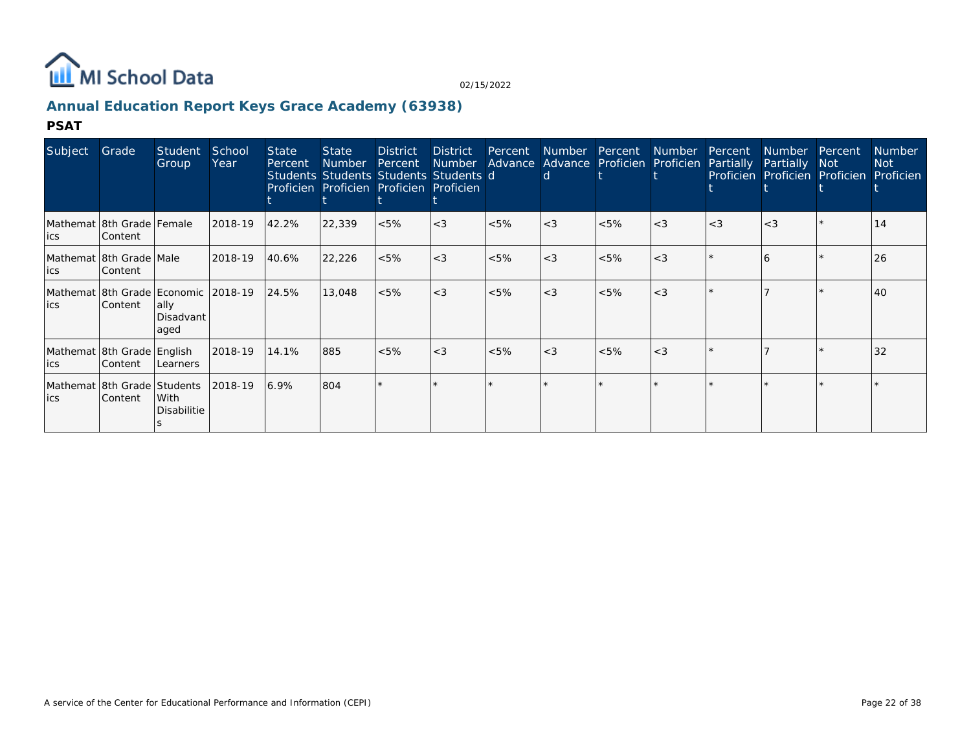

### **Annual Education Report Keys Grace Academy (63938)**

#### **PSAT**

| Subject                                     | Grade   | Student<br>Group                                                  | School<br>Year | <b>State</b><br>Percent | <b>State</b><br>Number<br>Students Students Students Students d<br>Proficien Proficien Proficien Proficien | <b>District</b><br>Percent | District | Percent<br>Number Advance Advance Proficien Proficien Partially | <b>Number</b><br>d | Percent Number Percent |       |       | Number Percent<br>Partially Not<br>Proficien Proficien Proficien |         | <b>Number</b><br>Not<br>Proficien |
|---------------------------------------------|---------|-------------------------------------------------------------------|----------------|-------------------------|------------------------------------------------------------------------------------------------------------|----------------------------|----------|-----------------------------------------------------------------|--------------------|------------------------|-------|-------|------------------------------------------------------------------|---------|-----------------------------------|
| Mathemat 8th Grade Female<br>lics           | Content |                                                                   | 2018-19        | 42.2%                   | 22,339                                                                                                     | $<5\%$                     | $ <$ 3   | $<5\%$                                                          | $<$ 3              | $< 5\%$                | $<$ 3 | $<$ 3 | $<$ 3                                                            |         | 14                                |
| Mathemat   8th Grade   Male<br>lics         | Content |                                                                   | 2018-19        | 40.6%                   | 22,226                                                                                                     | $< 5\%$                    | $ <$ 3   | $<5\%$                                                          | $<$ 3              | $<5\%$                 | $<$ 3 |       |                                                                  |         | 26                                |
| Mathemat 8th Grade Economic 2018-19<br>lics | Content | ally<br>Disadvant<br>aged                                         |                | 24.5%                   | 13,048                                                                                                     | $<5\%$                     | $ <$ 3   | $< 5\%$                                                         | $<$ 3              | $< 5\%$                | $<$ 3 |       |                                                                  | $\star$ | 40                                |
| Mathemat 8th Grade English<br>lics          | Content | Learners                                                          | 2018-19        | 14.1%                   | 885                                                                                                        | $< 5\%$                    | $ <$ 3   | $< 5\%$                                                         | $<$ 3              | $< 5\%$                | $<$ 3 |       |                                                                  |         | 32                                |
| lics                                        | Content | Mathemat 8th Grade Students 2018-19<br>With<br><b>Disabilitie</b> |                | 6.9%                    | 804                                                                                                        |                            |          |                                                                 |                    |                        |       |       |                                                                  |         |                                   |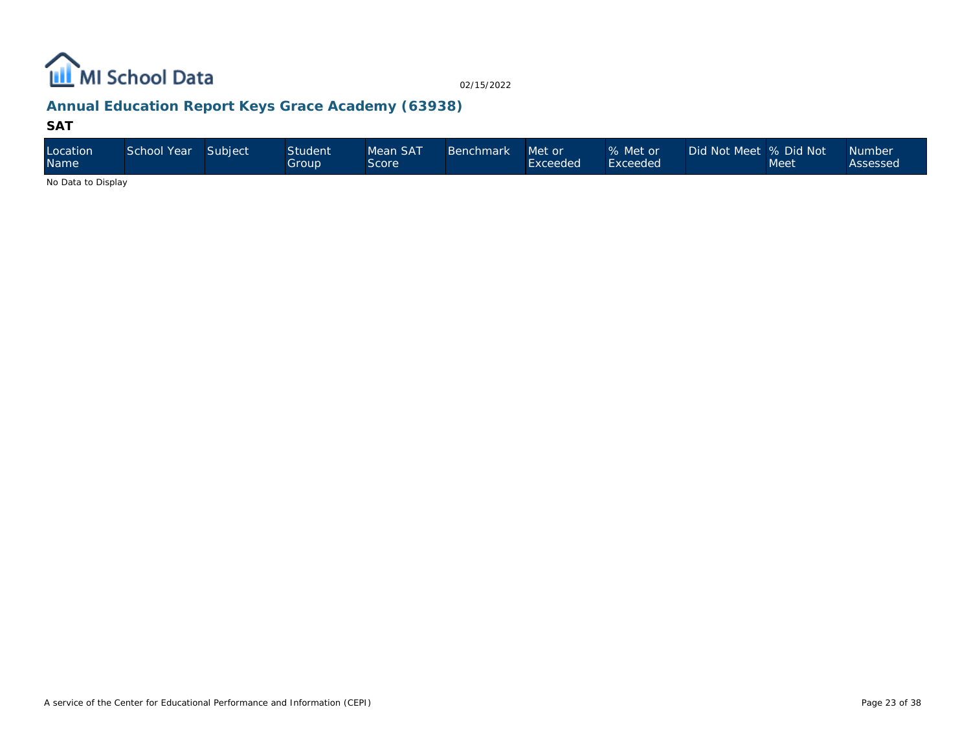

### **Annual Education Report Keys Grace Academy (63938)**

#### **SAT**

| Location<br>Name   | School Year | Subject | <b>Student</b><br>Group' | Mean SAT<br>Score | <b>Benchmark</b> | Met or<br>Exceeded | % Met or<br>Exceeded | Did Not Meet % Did Not | Meet | <b>Number</b><br>Assessed |
|--------------------|-------------|---------|--------------------------|-------------------|------------------|--------------------|----------------------|------------------------|------|---------------------------|
| No Dota to Dianlou |             |         |                          |                   |                  |                    |                      |                        |      |                           |

No Data to Display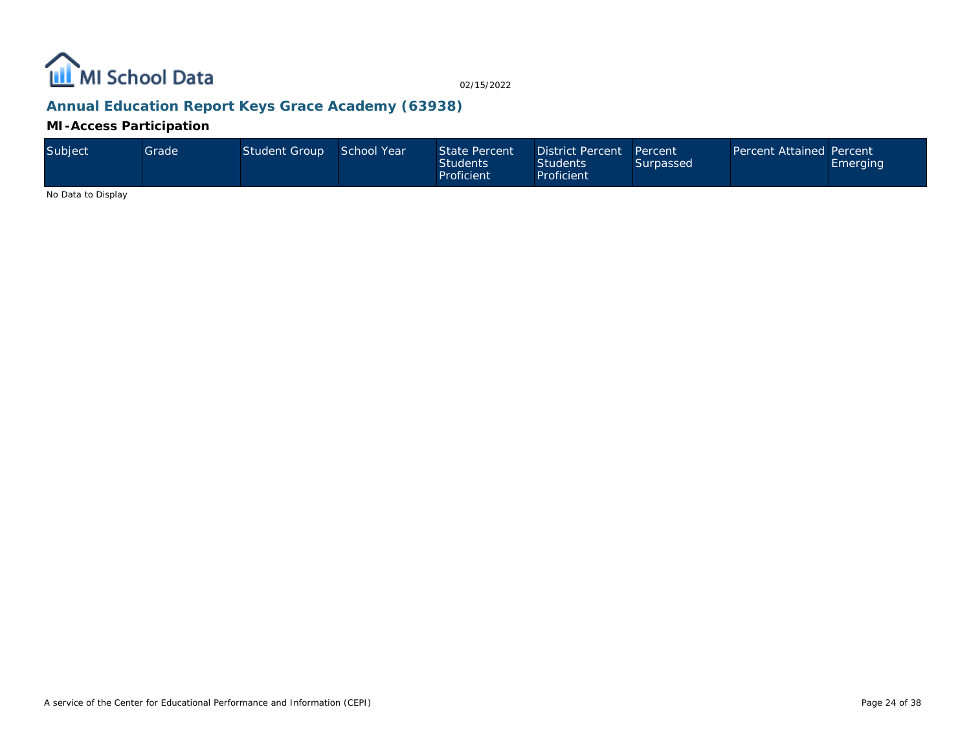

### **Annual Education Report Keys Grace Academy (63938)**

**MI-Access Participation**

| Subject | Grade ' | Student Group School Year |  | State Percent<br><b>Students</b><br>Proficient | District Percent Percent<br><b>Students</b><br>Proficient | Surpassed | <b>Percent Attained Percent</b> | Emerging |
|---------|---------|---------------------------|--|------------------------------------------------|-----------------------------------------------------------|-----------|---------------------------------|----------|
|---------|---------|---------------------------|--|------------------------------------------------|-----------------------------------------------------------|-----------|---------------------------------|----------|

No Data to Display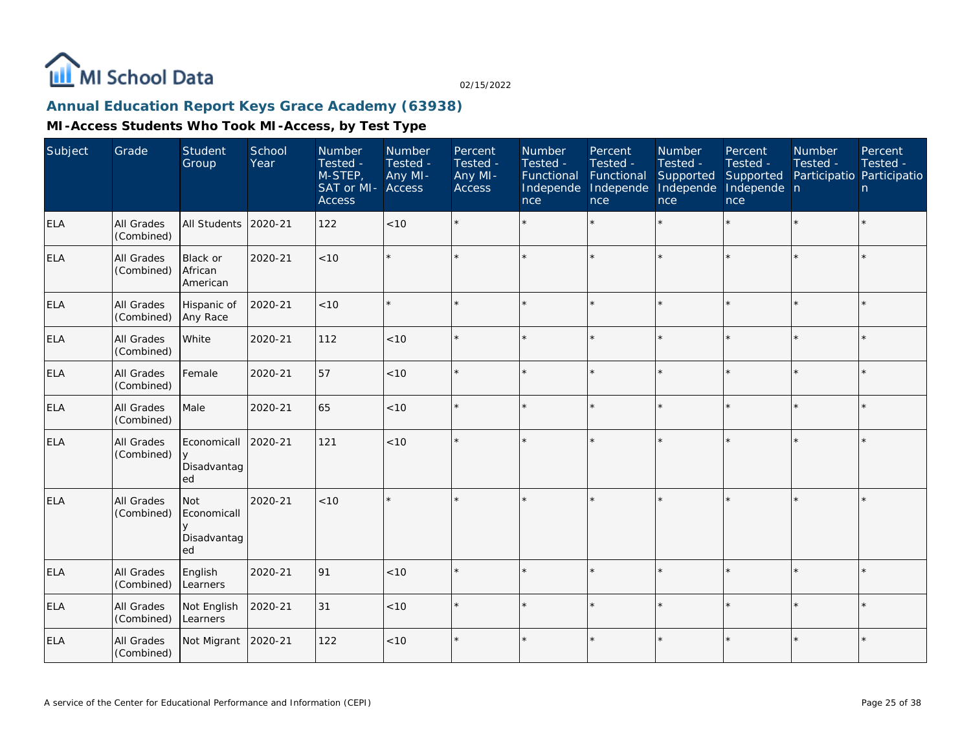

### **Annual Education Report Keys Grace Academy (63938)**

| Subject    | Grade                    | Student<br>Group                               | School<br>Year | Number<br>Tested -<br>M-STEP,<br>SAT or MI-<br><b>Access</b> | Number<br>Tested -<br>Any MI-<br>Access | Percent<br>Tested -<br>Any MI-<br><b>Access</b> | Number<br>Tested -<br>Functional<br>Independe<br>nce | Percent<br>Tested -<br>Functional<br>Independe<br>nce | Number<br>Tested -<br>Supported<br>Independe<br>nce | Percent<br>Tested -<br>Supported<br>Independe n<br>nce | Number<br>Tested - | Percent<br>Tested -<br>Participatio Participatio<br>n |
|------------|--------------------------|------------------------------------------------|----------------|--------------------------------------------------------------|-----------------------------------------|-------------------------------------------------|------------------------------------------------------|-------------------------------------------------------|-----------------------------------------------------|--------------------------------------------------------|--------------------|-------------------------------------------------------|
| ELA        | All Grades<br>(Combined) | All Students                                   | 2020-21        | 122                                                          | < 10                                    |                                                 |                                                      | $\star$                                               | ÷                                                   | $\star$                                                | $\star$            | $\star$                                               |
| <b>ELA</b> | All Grades<br>(Combined) | Black or<br><b>African</b><br>American         | 2020-21        | <10                                                          | $\star$                                 |                                                 |                                                      | $\star$                                               | ÷                                                   | $\star$                                                | $\star$            | $\star$                                               |
| ELA        | All Grades<br>(Combined) | Hispanic of<br>Any Race                        | 2020-21        | < 10                                                         | $\star$                                 |                                                 |                                                      | $\star$                                               |                                                     |                                                        |                    | $\star$                                               |
| <b>ELA</b> | All Grades<br>(Combined) | White                                          | 2020-21        | 112                                                          | < 10                                    |                                                 |                                                      | $\star$                                               | ÷                                                   | $\star$                                                | $\star$            | $\star$                                               |
| <b>ELA</b> | All Grades<br>(Combined) | Female                                         | 2020-21        | 57                                                           | < 10                                    |                                                 |                                                      | $\star$                                               | $\star$                                             | $\star$                                                | $\star$            | $\star$                                               |
| ELA        | All Grades<br>(Combined) | Male                                           | 2020-21        | 65                                                           | $<10$                                   |                                                 |                                                      | $\star$                                               |                                                     | $\star$                                                |                    | $\star$                                               |
| <b>ELA</b> | All Grades<br>(Combined) | Economicall<br><b>V</b><br>Disadvantag<br>ed   | 2020-21        | 121                                                          | < 10                                    |                                                 |                                                      | $\star$                                               |                                                     |                                                        |                    | $\star$                                               |
| ELA        | All Grades<br>(Combined) | <b>Not</b><br>Economicall<br>Disadvantag<br>ed | 2020-21        | < 10                                                         | $\star$                                 |                                                 |                                                      |                                                       |                                                     |                                                        |                    | $\star$                                               |
| <b>ELA</b> | All Grades<br>(Combined) | English<br>Learners                            | 2020-21        | 91                                                           | $<10$                                   |                                                 |                                                      | $\star$                                               | $\star$                                             | $\star$                                                | $\star$            | $\star$                                               |
| <b>ELA</b> | All Grades<br>(Combined) | Not English<br>Learners                        | 2020-21        | 31                                                           | $<10$                                   |                                                 |                                                      |                                                       |                                                     | ×.                                                     |                    | $\star$                                               |
| <b>ELA</b> | All Grades<br>(Combined) | Not Migrant                                    | 2020-21        | 122                                                          | $<10$                                   |                                                 |                                                      | $\star$                                               | ÷                                                   | $\star$                                                |                    | $\star$                                               |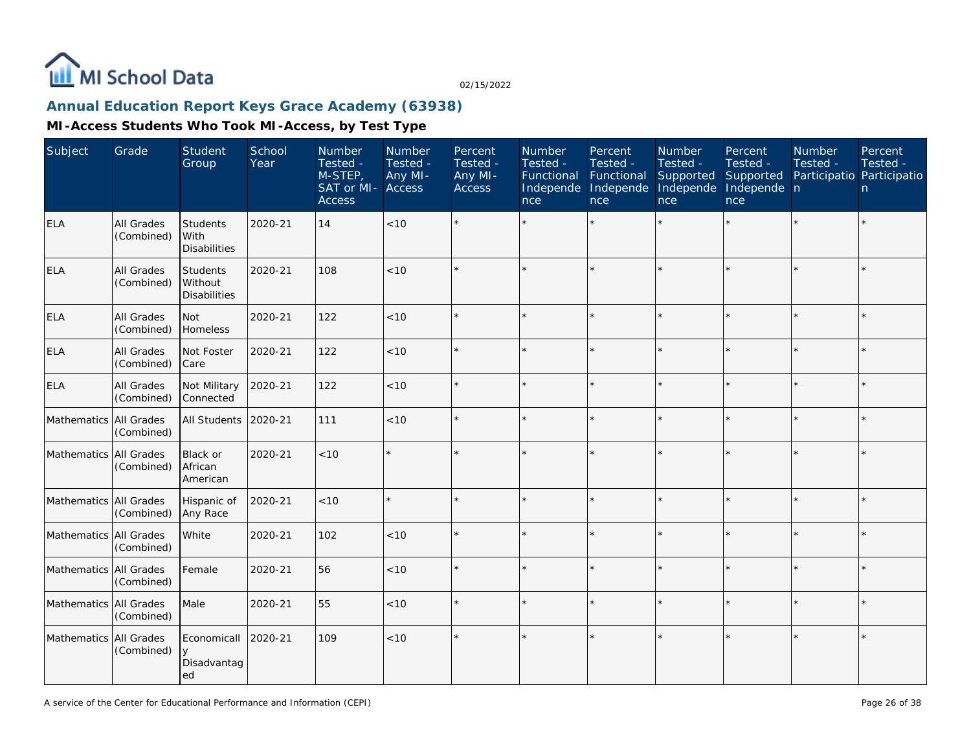

### **Annual Education Report Keys Grace Academy (63938)**

| Subject                | Grade                           | <b>Student</b><br>Group                        | School<br>Year | Number<br>Tested -<br>M-STEP,<br>SAT or MI-<br><b>Access</b> | Number<br>Tested -<br>Any MI-<br>Access | Percent<br>Tested -<br>Any MI-<br><b>Access</b> | Number<br>Tested -<br>Functional<br>Independe<br>nce | Percent<br>Tested -<br>Functional<br>Independe<br>nce | Number<br>Tested -<br>Supported<br>Independe<br>nce | Percent<br>Tested -<br>Supported<br>Independe n<br>nce | Number<br>Tested -<br>Participatio Participatio | Percent<br>Tested -<br>n |
|------------------------|---------------------------------|------------------------------------------------|----------------|--------------------------------------------------------------|-----------------------------------------|-------------------------------------------------|------------------------------------------------------|-------------------------------------------------------|-----------------------------------------------------|--------------------------------------------------------|-------------------------------------------------|--------------------------|
| <b>ELA</b>             | <b>All Grades</b><br>(Combined) | <b>Students</b><br>With<br><b>Disabilities</b> | 2020-21        | 14                                                           | <10                                     |                                                 |                                                      |                                                       |                                                     |                                                        |                                                 | $\star$                  |
| <b>ELA</b>             | All Grades<br>(Combined)        | Students<br>Without<br><b>Disabilities</b>     | 2020-21        | 108                                                          | <10                                     |                                                 |                                                      |                                                       |                                                     |                                                        |                                                 | ÷.                       |
| <b>ELA</b>             | All Grades<br>(Combined)        | Not<br>Homeless                                | 2020-21        | 122                                                          | < 10                                    |                                                 |                                                      |                                                       |                                                     | $\star$                                                |                                                 | $\star$                  |
| <b>ELA</b>             | All Grades<br>(Combined)        | Not Foster<br>Care                             | 2020-21        | 122                                                          | < 10                                    |                                                 |                                                      |                                                       |                                                     |                                                        |                                                 | $\star$                  |
| <b>ELA</b>             | All Grades<br>(Combined)        | Not Military<br>Connected                      | 2020-21        | 122                                                          | < 10                                    |                                                 |                                                      |                                                       |                                                     | $\star$                                                |                                                 | $\star$                  |
| Mathematics All Grades | (Combined)                      | <b>All Students</b>                            | 2020-21        | 111                                                          | $<10$                                   |                                                 |                                                      |                                                       |                                                     |                                                        |                                                 | $\star$                  |
| Mathematics All Grades | (Combined)                      | Black or<br>African<br>American                | 2020-21        | < 10                                                         |                                         |                                                 |                                                      |                                                       |                                                     |                                                        |                                                 | $\star$                  |
| Mathematics All Grades | (Combined)                      | Hispanic of<br>Any Race                        | 2020-21        | <10                                                          |                                         |                                                 |                                                      |                                                       |                                                     |                                                        |                                                 | $\star$                  |
| Mathematics All Grades | (Combined)                      | White                                          | 2020-21        | 102                                                          | $<10$                                   |                                                 |                                                      |                                                       |                                                     |                                                        |                                                 | $\star$                  |
| Mathematics All Grades | (Combined)                      | Female                                         | 2020-21        | 56                                                           | < 10                                    |                                                 |                                                      |                                                       |                                                     |                                                        |                                                 | $\star$                  |
| Mathematics All Grades | (Combined)                      | Male                                           | 2020-21        | 55                                                           | < 10                                    |                                                 |                                                      |                                                       |                                                     |                                                        |                                                 | $\star$                  |
| Mathematics All Grades | (Combined)                      | Economicall<br>y<br>Disadvantag<br>ed          | 2020-21        | 109                                                          | $<10$                                   |                                                 |                                                      |                                                       |                                                     |                                                        |                                                 | $\star$                  |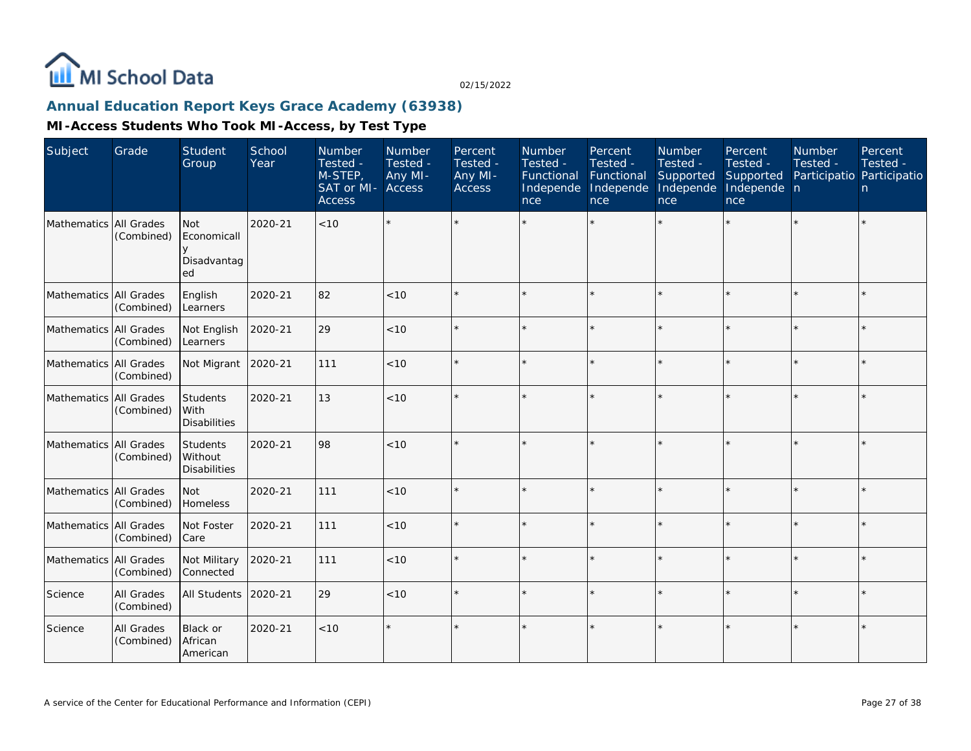

### **Annual Education Report Keys Grace Academy (63938)**

| Subject                  | Grade                           | Student<br>Group                               | School<br>Year | Number<br>Tested -<br>M-STEP,<br>SAT or MI-<br><b>Access</b> | Number<br>Tested -<br>Any MI-<br>Access | Percent<br>Tested -<br>Any MI-<br><b>Access</b> | <b>Number</b><br>Tested -<br>Functional<br>Independe<br>nce | Percent<br>Tested -<br>Functional<br>Independe<br>nce | <b>Number</b><br>Tested -<br>Supported<br>Independe<br>nce | Percent<br>Tested -<br>Supported<br>Independe n<br>nce | <b>Number</b><br>Tested - | Percent<br>Tested -<br>Participatio Participatio<br>n |
|--------------------------|---------------------------------|------------------------------------------------|----------------|--------------------------------------------------------------|-----------------------------------------|-------------------------------------------------|-------------------------------------------------------------|-------------------------------------------------------|------------------------------------------------------------|--------------------------------------------------------|---------------------------|-------------------------------------------------------|
| Mathematics All Grades   | (Combined)                      | <b>Not</b><br>Economicall<br>Disadvantag<br>ed | 2020-21        | < 10                                                         | $\star$                                 |                                                 |                                                             |                                                       |                                                            |                                                        |                           | $\star$                                               |
| Mathematics   All Grades | (Combined)                      | English<br>Learners                            | 2020-21        | 82                                                           | < 10                                    |                                                 |                                                             | $\star$                                               |                                                            |                                                        |                           | $\star$                                               |
| Mathematics All Grades   | (Combined)                      | Not English<br>Learners                        | 2020-21        | 29                                                           | < 10                                    |                                                 |                                                             | $\star$                                               |                                                            |                                                        |                           | $\star$                                               |
| Mathematics All Grades   | (Combined)                      | Not Migrant                                    | 2020-21        | 111                                                          | < 10                                    |                                                 |                                                             | $\star$                                               |                                                            |                                                        |                           | $\star$                                               |
| Mathematics All Grades   | (Combined)                      | Students<br>With<br><b>Disabilities</b>        | 2020-21        | 13                                                           | < 10                                    |                                                 |                                                             | ÷                                                     |                                                            | ÷                                                      |                           | $\star$                                               |
| Mathematics All Grades   | (Combined)                      | Students<br>Without<br><b>Disabilities</b>     | 2020-21        | 98                                                           | < 10                                    |                                                 |                                                             |                                                       |                                                            |                                                        |                           | ×                                                     |
| Mathematics All Grades   | (Combined)                      | <b>Not</b><br>Homeless                         | 2020-21        | 111                                                          | < 10                                    | $\star$                                         | $\star$                                                     | $\star$                                               | ÷                                                          | $\star$                                                | $\star$                   | $\star$                                               |
| Mathematics All Grades   | (Combined)                      | Not Foster<br>Care                             | 2020-21        | 111                                                          | < 10                                    |                                                 |                                                             | $\star$                                               |                                                            | ×.                                                     |                           | $\star$                                               |
| Mathematics All Grades   | (Combined)                      | Not Military<br>Connected                      | 2020-21        | 111                                                          | < 10                                    |                                                 |                                                             | $\star$                                               |                                                            | $\star$                                                |                           | $\star$                                               |
| Science                  | <b>All Grades</b><br>(Combined) | All Students                                   | 2020-21        | 29                                                           | < 10                                    |                                                 |                                                             |                                                       |                                                            |                                                        |                           | $\star$                                               |
| Science                  | <b>All Grades</b><br>(Combined) | <b>Black or</b><br>African<br>American         | 2020-21        | < 10                                                         | $\star$                                 |                                                 |                                                             |                                                       |                                                            |                                                        |                           | $\star$                                               |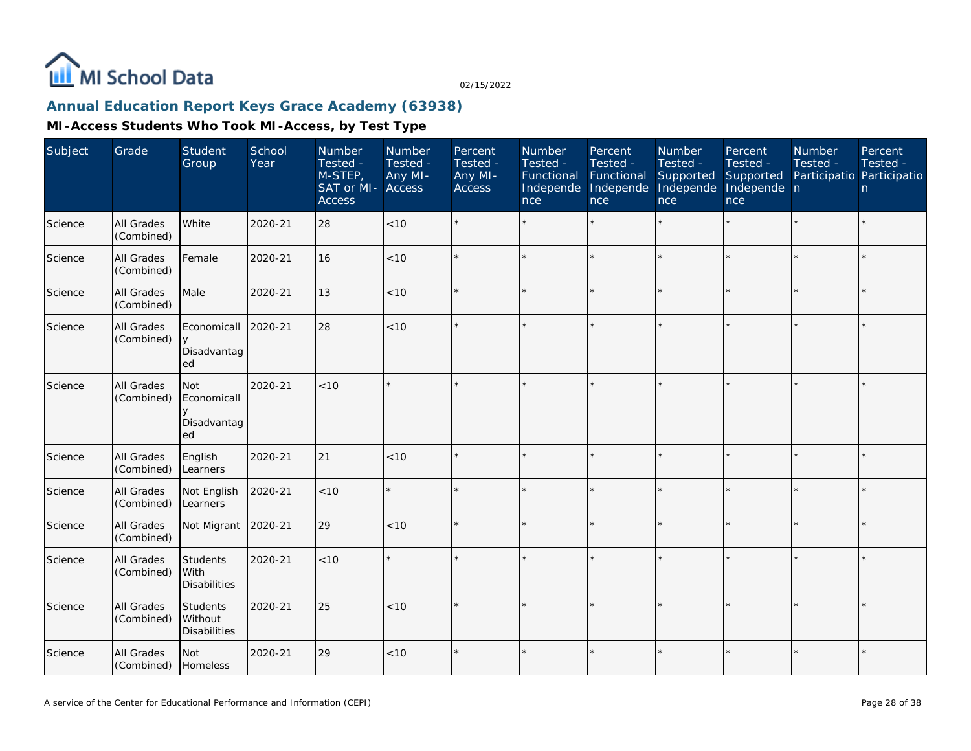

### **Annual Education Report Keys Grace Academy (63938)**

| Subject | Grade                    | Student<br>Group                                    | School<br>Year | Number<br>Tested -<br>M-STEP,<br>SAT or MI-<br><b>Access</b> | Number<br>Tested -<br>Any MI-<br>Access | Percent<br>Tested -<br>Any MI-<br><b>Access</b> | Number<br>Tested -<br>Functional<br>Independe<br>nce | Percent<br>Tested -<br>Functional<br>Independe<br>nce | Number<br>Tested -<br>Supported<br>Independe<br>nce | Percent<br>Tested -<br>Supported<br>Independe n<br>nce | <b>Number</b><br>Tested - | Percent<br>Tested -<br>Participatio Participatio<br>n |
|---------|--------------------------|-----------------------------------------------------|----------------|--------------------------------------------------------------|-----------------------------------------|-------------------------------------------------|------------------------------------------------------|-------------------------------------------------------|-----------------------------------------------------|--------------------------------------------------------|---------------------------|-------------------------------------------------------|
| Science | All Grades<br>(Combined) | White                                               | 2020-21        | 28                                                           | < 10                                    |                                                 |                                                      | $\star$                                               | $\star$                                             |                                                        |                           | $\star$                                               |
| Science | All Grades<br>(Combined) | Female                                              | 2020-21        | 16                                                           | < 10                                    |                                                 |                                                      | $\star$                                               |                                                     | $\star$                                                | $\star$                   | $\star$                                               |
| Science | All Grades<br>(Combined) | Male                                                | 2020-21        | 13                                                           | $<10$                                   |                                                 |                                                      | $\star$                                               |                                                     | $\star$                                                |                           | $\star$                                               |
| Science | All Grades<br>(Combined) | Economicall<br><b>V</b><br>Disadvantag<br>ed        | 2020-21        | 28                                                           | < 10                                    |                                                 |                                                      | $\star$                                               |                                                     |                                                        |                           | $\star$                                               |
| Science | All Grades<br>(Combined) | <b>Not</b><br>Economicall<br>V<br>Disadvantag<br>ed | 2020-21        | < 10                                                         | $\star$                                 |                                                 |                                                      | $\star$                                               |                                                     | $\star$                                                | $\star$                   | $\star$                                               |
| Science | All Grades<br>(Combined) | English<br>Learners                                 | 2020-21        | 21                                                           | $<10$                                   |                                                 |                                                      | $\star$                                               |                                                     | $\star$                                                |                           | $\star$                                               |
| Science | All Grades<br>(Combined) | Not English<br>Learners                             | 2020-21        | < 10                                                         | $\star$                                 |                                                 |                                                      | $\star$                                               |                                                     |                                                        |                           | $\star$                                               |
| Science | All Grades<br>(Combined) | Not Migrant                                         | 2020-21        | 29                                                           | < 10                                    |                                                 |                                                      | $\star$                                               |                                                     | $\star$                                                |                           | $\star$                                               |
| Science | All Grades<br>(Combined) | Students<br>With<br><b>Disabilities</b>             | 2020-21        | < 10                                                         | $\star$                                 |                                                 |                                                      |                                                       |                                                     | ×.                                                     |                           | $\star$                                               |
| Science | All Grades<br>(Combined) | Students<br>Without<br><b>Disabilities</b>          | 2020-21        | 25                                                           | $<10$                                   |                                                 |                                                      | $\star$                                               |                                                     |                                                        |                           | ÷.                                                    |
| Science | All Grades<br>(Combined) | <b>Not</b><br>Homeless                              | 2020-21        | 29                                                           | < 10                                    |                                                 |                                                      | $\star$                                               |                                                     |                                                        |                           | $\star$                                               |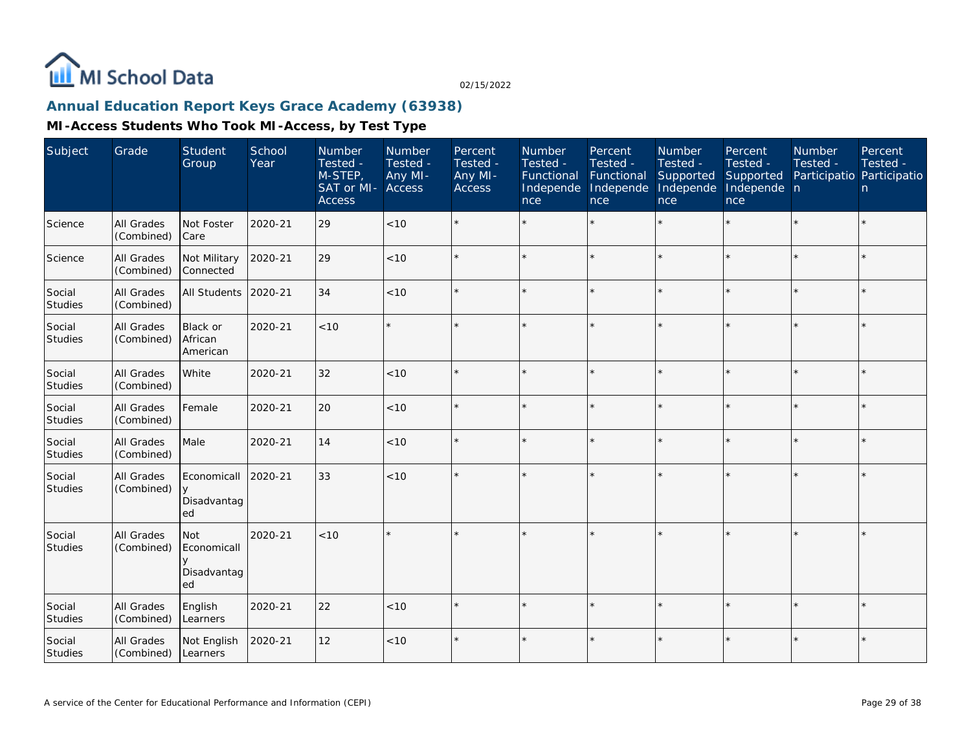

### **Annual Education Report Keys Grace Academy (63938)**

| Subject                  | Grade                           | Student<br>Group                        | School<br>Year | Number<br>Tested -<br>M-STEP,<br>SAT or MI-<br><b>Access</b> | Number<br>Tested -<br>Any MI-<br>Access | Percent<br>Tested -<br>Any MI-<br><b>Access</b> | Number<br>Tested -<br>Functional<br>Independe<br>nce | Percent<br>Tested -<br>Functional<br>Independe<br>nce | <b>Number</b><br>Tested -<br>Supported<br>Independe<br>nce | Percent<br>Tested -<br>Supported<br>Independe n<br>nce | <b>Number</b><br>Tested -<br>Participatio Participatio | Percent<br>Tested -<br>n. |
|--------------------------|---------------------------------|-----------------------------------------|----------------|--------------------------------------------------------------|-----------------------------------------|-------------------------------------------------|------------------------------------------------------|-------------------------------------------------------|------------------------------------------------------------|--------------------------------------------------------|--------------------------------------------------------|---------------------------|
| Science                  | All Grades<br>(Combined)        | Not Foster<br>Care                      | 2020-21        | 29                                                           | < 10                                    |                                                 |                                                      |                                                       |                                                            |                                                        |                                                        | $\star$                   |
| Science                  | All Grades<br>(Combined)        | Not Military<br>Connected               | 2020-21        | 29                                                           | < 10                                    |                                                 |                                                      |                                                       | $\star$                                                    | ×.                                                     |                                                        | $\star$                   |
| Social<br>Studies        | All Grades<br>(Combined)        | All Students                            | 2020-21        | 34                                                           | $<10$                                   |                                                 |                                                      |                                                       |                                                            | ×.                                                     |                                                        | $\star$                   |
| Social<br>Studies        | All Grades<br>(Combined)        | Black or<br>African<br>American         | 2020-21        | < 10                                                         |                                         |                                                 |                                                      |                                                       |                                                            | sk.                                                    |                                                        | $\star$                   |
| Social<br><b>Studies</b> | <b>All Grades</b><br>(Combined) | White                                   | 2020-21        | 32                                                           | < 10                                    |                                                 |                                                      |                                                       |                                                            |                                                        | $\star$                                                | $\star$                   |
| Social<br>Studies        | All Grades<br>(Combined)        | Female                                  | 2020-21        | 20                                                           | $<10$                                   |                                                 |                                                      |                                                       |                                                            |                                                        |                                                        | $\star$                   |
| Social<br>Studies        | All Grades<br>(Combined)        | Male                                    | 2020-21        | 14                                                           | < 10                                    |                                                 |                                                      |                                                       |                                                            |                                                        |                                                        | $\star$                   |
| Social<br>Studies        | All Grades<br>(Combined)        | Economicall<br>y<br>Disadvantag<br>ed   | 2020-21        | 33                                                           | < 10                                    |                                                 |                                                      |                                                       |                                                            |                                                        |                                                        | $\star$                   |
| Social<br>Studies        | All Grades<br>(Combined)        | Not<br>Economicall<br>Disadvantag<br>ed | 2020-21        | < 10                                                         |                                         |                                                 |                                                      |                                                       |                                                            |                                                        |                                                        | $\star$                   |
| Social<br>Studies        | All Grades<br>(Combined)        | English<br>Learners                     | 2020-21        | 22                                                           | < 10                                    |                                                 |                                                      |                                                       |                                                            |                                                        |                                                        | $\star$                   |
| Social<br>Studies        | <b>All Grades</b><br>(Combined) | Not English<br><b>Learners</b>          | 2020-21        | 12                                                           | $<10$                                   |                                                 |                                                      |                                                       |                                                            |                                                        |                                                        | $\star$                   |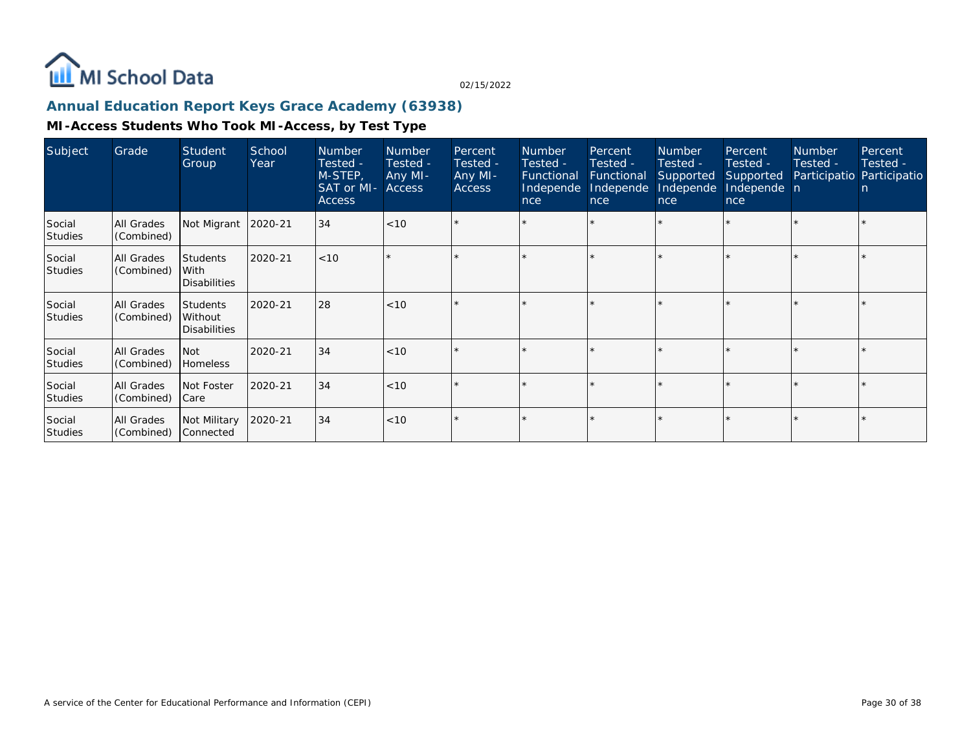

### **Annual Education Report Keys Grace Academy (63938)**

| Subject                  | Grade                    | Student<br>Group                                  | School<br>Year | <b>Number</b><br>Tested -<br>M-STEP,<br>SAT or MI-<br><b>Access</b> | <b>Number</b><br>Tested -<br>Any MI-<br><b>Access</b> | Percent<br>Tested -<br>Any MI-<br><b>Access</b> | <b>Number</b><br>Tested -<br>Functional<br>Independe<br>nce | Percent<br>Tested -<br>Functional<br>Independe<br>nce | <b>Number</b><br>Tested -<br>Supported<br>Independe<br>nce | Percent<br>Tested -<br>Supported<br>Independe n<br>nce | <b>Number</b><br>Tested - | Percent<br>Tested -<br>Participatio Participatio<br>n |
|--------------------------|--------------------------|---------------------------------------------------|----------------|---------------------------------------------------------------------|-------------------------------------------------------|-------------------------------------------------|-------------------------------------------------------------|-------------------------------------------------------|------------------------------------------------------------|--------------------------------------------------------|---------------------------|-------------------------------------------------------|
| Social<br><b>Studies</b> | All Grades<br>(Combined) | Not Migrant 2020-21                               |                | 34                                                                  | $ $ < 10                                              | $\star$                                         |                                                             | $\star$                                               |                                                            |                                                        |                           |                                                       |
| Social<br><b>Studies</b> | All Grades<br>(Combined) | <b>Students</b><br>With<br><b>Disabilities</b>    | 2020-21        | < 10                                                                |                                                       |                                                 |                                                             |                                                       |                                                            |                                                        |                           |                                                       |
| Social<br><b>Studies</b> | All Grades<br>(Combined) | <b>Students</b><br>Without<br><b>Disabilities</b> | 2020-21        | 28                                                                  | < 10                                                  | $\star$                                         |                                                             | $\star$                                               |                                                            |                                                        |                           |                                                       |
| Social<br>Studies        | All Grades<br>(Combined) | <b>Not</b><br><b>Homeless</b>                     | 2020-21        | 34                                                                  | $ $ < 10                                              |                                                 |                                                             |                                                       |                                                            |                                                        |                           |                                                       |
| Social<br><b>Studies</b> | All Grades<br>(Combined) | Not Foster<br>Care                                | 2020-21        | 34                                                                  | < 10                                                  | $\star$                                         |                                                             |                                                       |                                                            |                                                        |                           |                                                       |
| Social<br><b>Studies</b> | All Grades<br>(Combined) | Not Military<br>Connected                         | 2020-21        | 34                                                                  | $ $ < 10                                              |                                                 |                                                             |                                                       |                                                            |                                                        |                           |                                                       |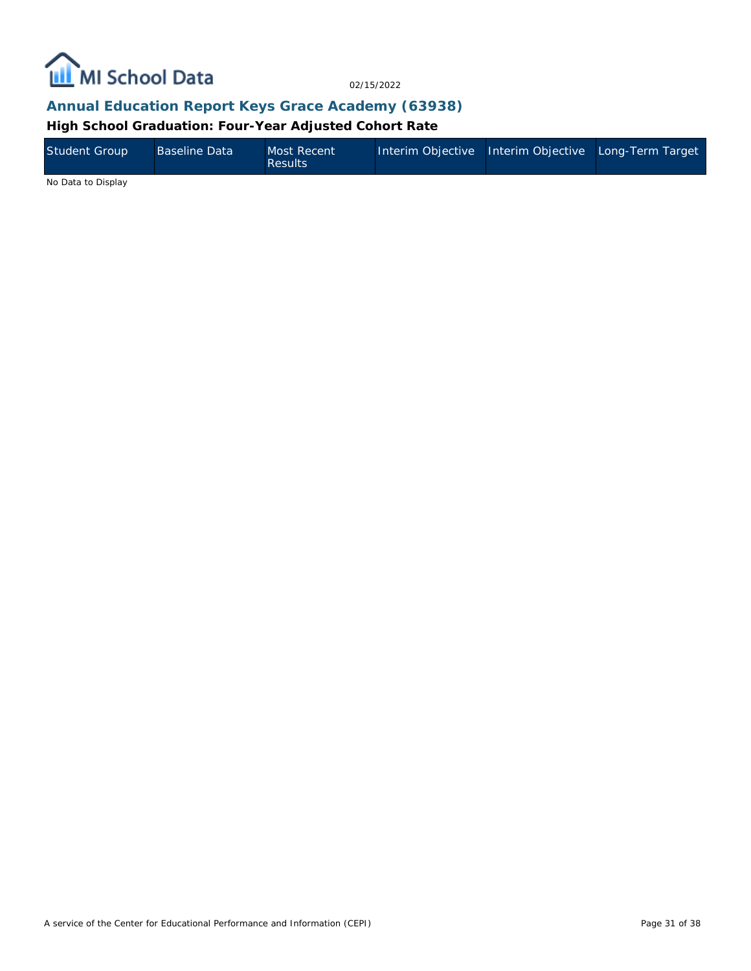

### **Annual Education Report Keys Grace Academy (63938)**

**High School Graduation: Four-Year Adjusted Cohort Rate**

| Student Group | Baseline Data | Most Recent<br><b>Results</b> |  | Interim Objective Interim Objective Long-Term Target |
|---------------|---------------|-------------------------------|--|------------------------------------------------------|
| .             |               |                               |  |                                                      |

No Data to Display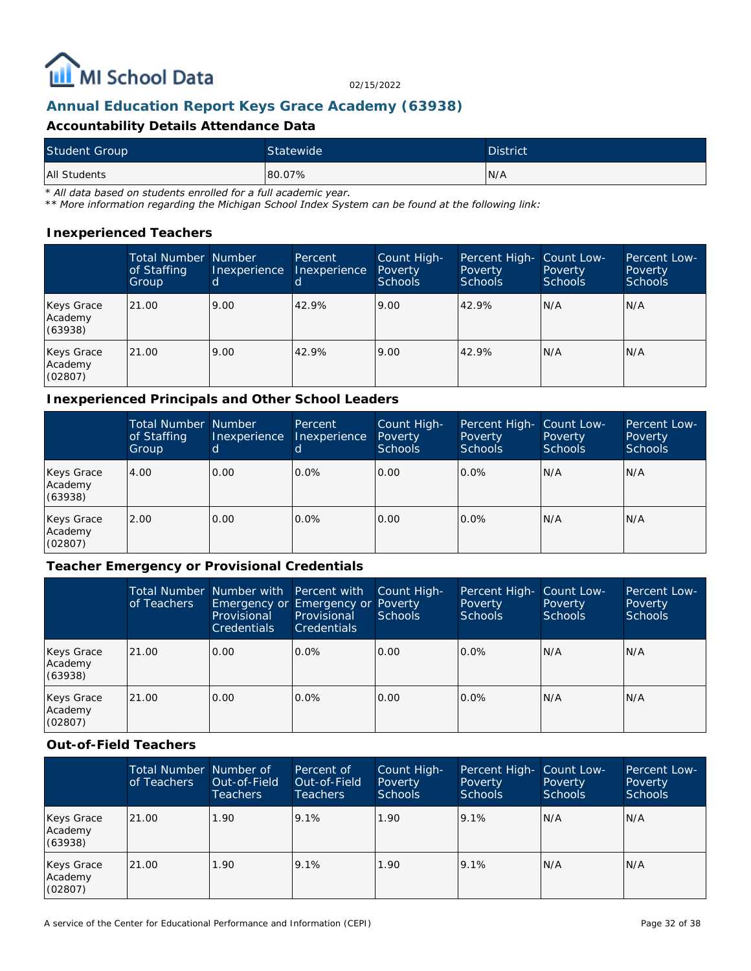

### **Annual Education Report Keys Grace Academy (63938)**

#### **Accountability Details Attendance Data**

| <b>Student Group</b> | Statewide | <b>District</b> |
|----------------------|-----------|-----------------|
| All Students         | 80.07%    | IN/A            |

*\* All data based on students enrolled for a full academic year.*

*\*\* More information regarding the Michigan School Index System can be found at the following link:*

#### **Inexperienced Teachers**

|                                  | <b>Total Number Number</b><br>of Staffing<br>Group | Inexperience | Percent<br>Inexperience | Count High-<br>Poverty<br>Schools | Percent High-<br>Poverty<br><b>Schools</b> | Count Low-<br>Poverty<br><b>Schools</b> | Percent Low-<br>Poverty<br><b>Schools</b> |
|----------------------------------|----------------------------------------------------|--------------|-------------------------|-----------------------------------|--------------------------------------------|-----------------------------------------|-------------------------------------------|
| Keys Grace<br>Academy<br>(63938) | 21.00                                              | 9.00         | 42.9%                   | 9.00                              | 42.9%                                      | N/A                                     | N/A                                       |
| Keys Grace<br>Academy<br>(02807) | 21.00                                              | 9.00         | 42.9%                   | 9.00                              | 42.9%                                      | N/A                                     | N/A                                       |

#### **Inexperienced Principals and Other School Leaders**

|                                  | <b>Total Number Number</b><br>of Staffing<br>Group | Inexperience | Percent<br>Inexperience | Count High-<br>Poverty<br><b>Schools</b> | Percent High-<br>Poverty<br><b>Schools</b> | Count Low-<br>Poverty<br><b>Schools</b> | Percent Low-<br><b>Poverty</b><br><b>Schools</b> |
|----------------------------------|----------------------------------------------------|--------------|-------------------------|------------------------------------------|--------------------------------------------|-----------------------------------------|--------------------------------------------------|
| Keys Grace<br>Academy<br>(63938) | 4.00                                               | 0.00         | 0.0%                    | 0.00                                     | $0.0\%$                                    | N/A                                     | IN/A                                             |
| Keys Grace<br>Academy<br>(02807) | 2.00                                               | 0.00         | $0.0\%$                 | 0.00                                     | $0.0\%$                                    | N/A                                     | IN/A                                             |

#### **Teacher Emergency or Provisional Credentials**

|                                  | of Teachers | Total Number Number with Percent with<br>Emergency or Emergency or Poverty<br>Provisional<br><b>Credentials</b> | Provisional<br>Credentials | Count High-<br>Schools | Percent High- Count Low-<br><b>Poverty</b><br>Schools | Poverty<br>Schools | Percent Low-<br>Poverty<br><b>Schools</b> |
|----------------------------------|-------------|-----------------------------------------------------------------------------------------------------------------|----------------------------|------------------------|-------------------------------------------------------|--------------------|-------------------------------------------|
| Keys Grace<br>Academy<br>(63938) | 21.00       | 0.00                                                                                                            | $0.0\%$                    | 0.00                   | $0.0\%$                                               | N/A                | IN/A                                      |
| Keys Grace<br>Academy<br>(02807) | 21.00       | 0.00                                                                                                            | $0.0\%$                    | 0.00                   | $0.0\%$                                               | N/A                | IN/A                                      |

#### **Out-of-Field Teachers**

|                                  | Total Number Number of<br>of Teachers | Out-of-Field<br><b>Teachers</b> | Percent of<br>Out-of-Field<br>Teachers | Count High-<br>Poverty<br><b>Schools</b> | Percent High-<br>Poverty<br><b>Schools</b> | Count Low-<br>Poverty<br>Schools | Percent Low-<br>Poverty<br><b>Schools</b> |
|----------------------------------|---------------------------------------|---------------------------------|----------------------------------------|------------------------------------------|--------------------------------------------|----------------------------------|-------------------------------------------|
| Keys Grace<br>Academy<br>(63938) | 21.00                                 | 1.90                            | 9.1%                                   | 1.90                                     | 9.1%                                       | N/A                              | N/A                                       |
| Keys Grace<br>Academy<br>(02807) | 21.00                                 | 1.90                            | 9.1%                                   | 1.90                                     | 9.1%                                       | N/A                              | N/A                                       |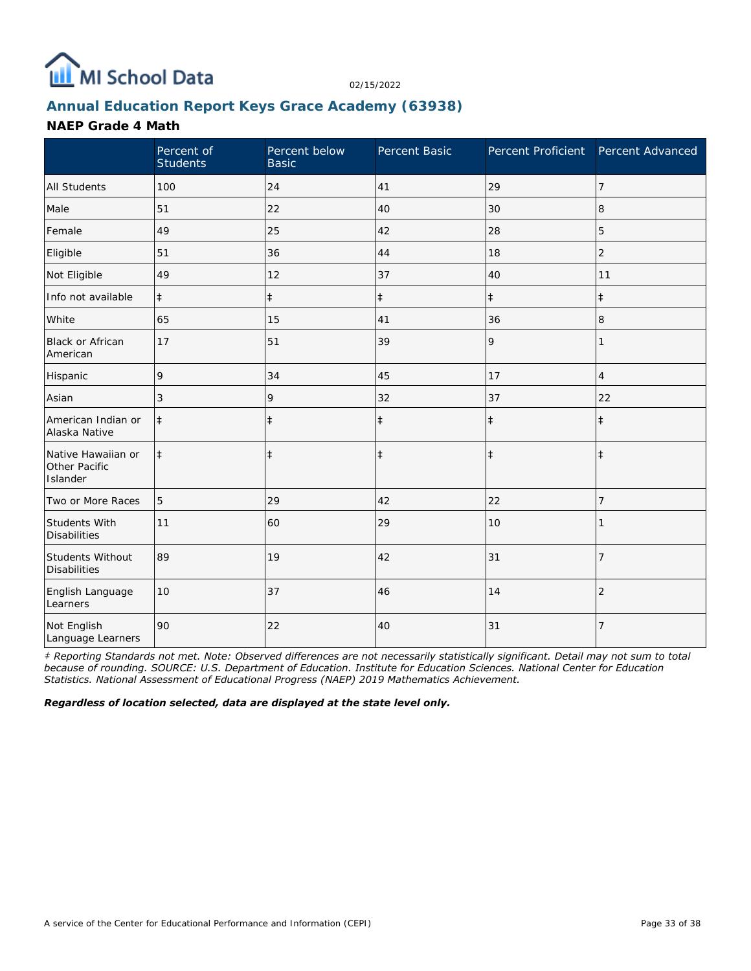

### **Annual Education Report Keys Grace Academy (63938)**

#### **NAEP Grade 4 Math**

|                                                 | Percent of<br><b>Students</b> | Percent below<br><b>Basic</b> | Percent Basic | Percent Proficient Percent Advanced |                |
|-------------------------------------------------|-------------------------------|-------------------------------|---------------|-------------------------------------|----------------|
| <b>All Students</b>                             | 100                           | 24                            | 41            | 29                                  | 7              |
| Male                                            | 51                            | 22                            | 40            | 30                                  | 8              |
| Female                                          | 49                            | 25                            | 42            | 28                                  | 5              |
| Eligible                                        | 51                            | 36                            | 44            | 18                                  | $\overline{2}$ |
| Not Eligible                                    | 49                            | 12                            | 37            | 40                                  | 11             |
| Info not available                              | $\ddagger$                    | $\ddagger$                    | $\ddagger$    | $\ddagger$                          | $\ddagger$     |
| White                                           | 65                            | 15                            | 41            | 36                                  | 8              |
| <b>Black or African</b><br>American             | 17                            | 51                            | 39            | 9                                   | 1              |
| Hispanic                                        | 9                             | 34                            | 45            | 17                                  | 4              |
| Asian                                           | 3                             | 9                             | 32            | 37                                  | 22             |
| American Indian or<br>Alaska Native             | $\ddagger$                    | $\ddagger$                    | $\ddagger$    | $\ddagger$                          | $\ddagger$     |
| Native Hawaiian or<br>Other Pacific<br>Islander | $\ddagger$                    | $\ddagger$                    | $\ddagger$    | $\ddagger$                          | $\ddagger$     |
| Two or More Races                               | 5                             | 29                            | 42            | 22                                  | 7              |
| Students With<br><b>Disabilities</b>            | 11                            | 60                            | 29            | 10                                  |                |
| Students Without<br><b>Disabilities</b>         | 89                            | 19                            | 42            | 31                                  | $\overline{7}$ |
| English Language<br>Learners                    | 10                            | 37                            | 46            | 14                                  | $\overline{2}$ |
| Not English<br>Language Learners                | 90                            | 22                            | 40            | 31                                  | $\overline{7}$ |

*‡ Reporting Standards not met. Note: Observed differences are not necessarily statistically significant. Detail may not sum to total because of rounding. SOURCE: U.S. Department of Education. Institute for Education Sciences. National Center for Education Statistics. National Assessment of Educational Progress (NAEP) 2019 Mathematics Achievement.*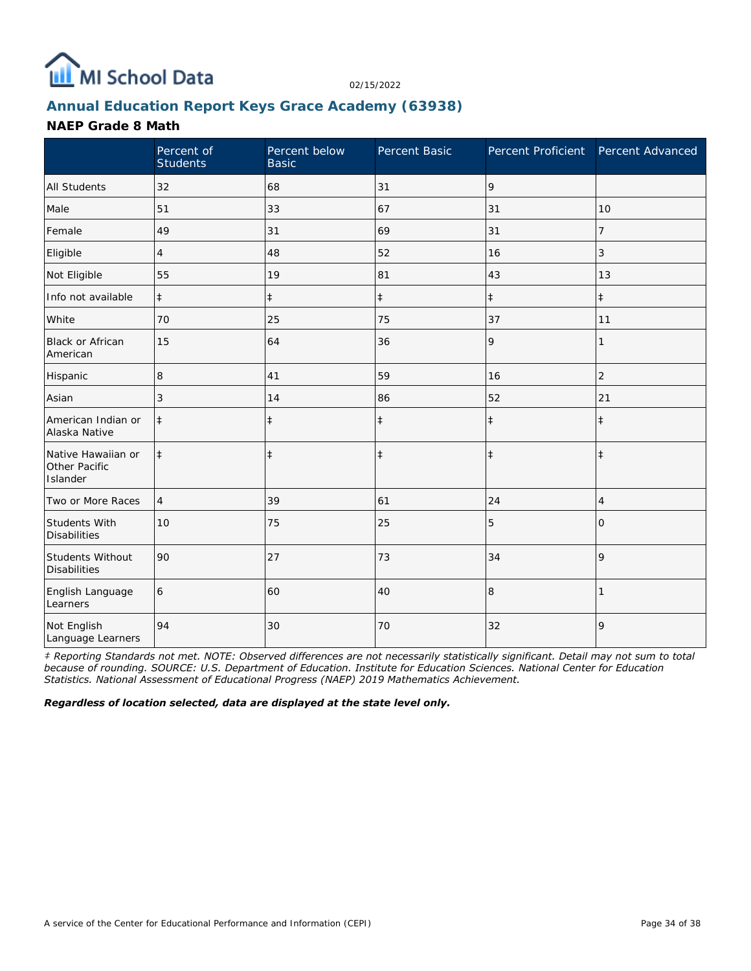

### **Annual Education Report Keys Grace Academy (63938)**

#### **NAEP Grade 8 Math**

|                                                 | Percent of<br><b>Students</b> | Percent below<br><b>Basic</b> | Percent Basic | Percent Proficient | Percent Advanced |
|-------------------------------------------------|-------------------------------|-------------------------------|---------------|--------------------|------------------|
| <b>All Students</b>                             | 32                            | 68                            | 31            | 9                  |                  |
| Male                                            | 51                            | 33                            | 67            | 31                 | 10               |
| Female                                          | 49                            | 31                            | 69            | 31                 | 7                |
| Eligible                                        | 4                             | 48                            | 52            | 16                 | 3                |
| Not Eligible                                    | 55                            | 19                            | 81            | 43                 | 13               |
| Info not available                              | $\ddagger$                    | $\ddagger$                    | $\ddagger$    | $\ddagger$         | $\ddagger$       |
| White                                           | 70                            | 25                            | 75            | 37                 | 11               |
| <b>Black or African</b><br>American             | 15                            | 64                            | 36            | 9                  | 1                |
| Hispanic                                        | 8                             | 41                            | 59            | 16                 | $\overline{2}$   |
| Asian                                           | 3                             | 14                            | 86            | 52                 | 21               |
| American Indian or<br>Alaska Native             | $\ddagger$                    | $\ddagger$                    | $\ddagger$    | $\ddagger$         | $\ddagger$       |
| Native Hawaiian or<br>Other Pacific<br>Islander | $\ddagger$                    | $\ddagger$                    | $\ddagger$    | $\ddagger$         | $\ddagger$       |
| Two or More Races                               | $\overline{4}$                | 39                            | 61            | 24                 | 4                |
| Students With<br><b>Disabilities</b>            | 10                            | 75                            | 25            | 5                  | $\Omega$         |
| Students Without<br><b>Disabilities</b>         | 90                            | 27                            | 73            | 34                 | 9                |
| English Language<br>Learners                    | 6                             | 60                            | 40            | 8                  |                  |
| Not English<br>Language Learners                | 94                            | 30                            | 70            | 32                 | 9                |

*‡ Reporting Standards not met. NOTE: Observed differences are not necessarily statistically significant. Detail may not sum to total because of rounding. SOURCE: U.S. Department of Education. Institute for Education Sciences. National Center for Education Statistics. National Assessment of Educational Progress (NAEP) 2019 Mathematics Achievement.*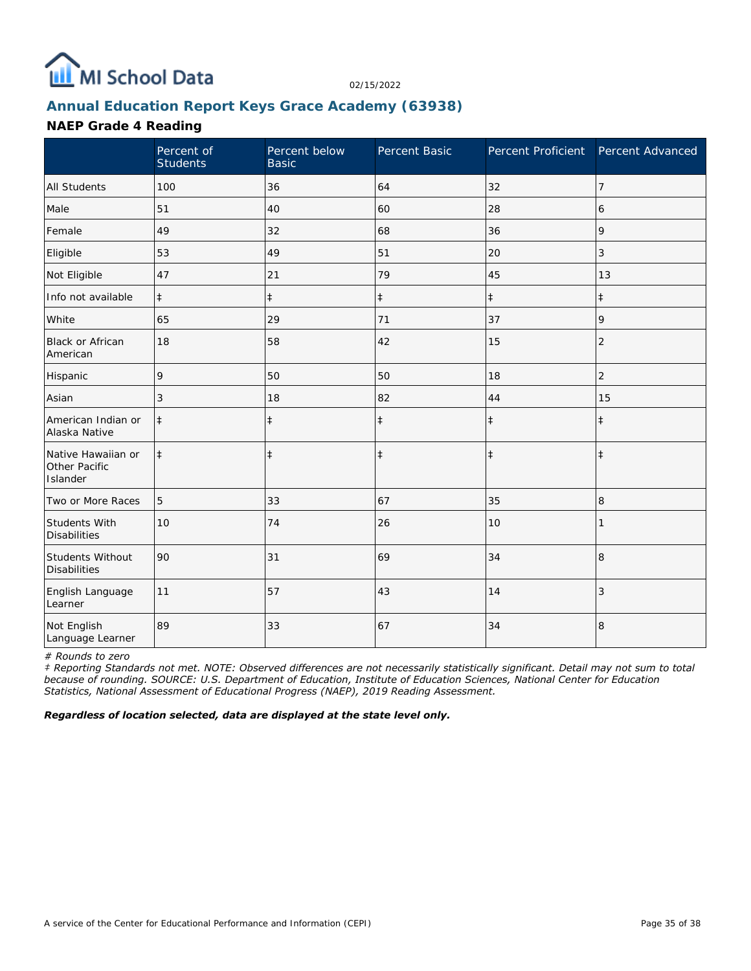

## **Annual Education Report Keys Grace Academy (63938)**

#### **NAEP Grade 4 Reading**

|                                                 | Percent of<br><b>Students</b> | Percent below<br><b>Basic</b> | Percent Basic | Percent Proficient Percent Advanced |                |
|-------------------------------------------------|-------------------------------|-------------------------------|---------------|-------------------------------------|----------------|
| <b>All Students</b>                             | 100                           | 36                            | 64            | 32                                  | $\overline{7}$ |
| Male                                            | 51                            | 40                            | 60            | 28                                  | 6              |
| Female                                          | 49                            | 32                            | 68            | 36                                  | 9              |
| Eligible                                        | 53                            | 49                            | 51            | 20                                  | 3              |
| Not Eligible                                    | 47                            | 21                            | 79            | 45                                  | 13             |
| Info not available                              | $\ddagger$                    | $\ddagger$                    | $\ddagger$    | $\ddagger$                          | $\ddagger$     |
| White                                           | 65                            | 29                            | 71            | 37                                  | 9              |
| Black or African<br>American                    | 18                            | 58                            | 42            | 15                                  | $\overline{2}$ |
| Hispanic                                        | 9                             | 50                            | 50            | 18                                  | 2              |
| Asian                                           | 3                             | 18                            | 82            | 44                                  | 15             |
| American Indian or<br>Alaska Native             | $\ddagger$                    | $\ddagger$                    | $\ddagger$    | $\ddagger$                          | $\ddagger$     |
| Native Hawaiian or<br>Other Pacific<br>Islander | $\ddagger$                    | $\ddagger$                    | $\ddagger$    | $\ddagger$                          | $\ddagger$     |
| Two or More Races                               | 5                             | 33                            | 67            | 35                                  | 8              |
| Students With<br><b>Disabilities</b>            | 10                            | 74                            | 26            | 10                                  |                |
| Students Without<br><b>Disabilities</b>         | 90                            | 31                            | 69            | 34                                  | 8              |
| English Language<br>Learner                     | 11                            | 57                            | 43            | 14                                  | 3              |
| Not English<br>Language Learner                 | 89                            | 33                            | 67            | 34                                  | 8              |

*# Rounds to zero*

*‡ Reporting Standards not met. NOTE: Observed differences are not necessarily statistically significant. Detail may not sum to total because of rounding. SOURCE: U.S. Department of Education, Institute of Education Sciences, National Center for Education Statistics, National Assessment of Educational Progress (NAEP), 2019 Reading Assessment.*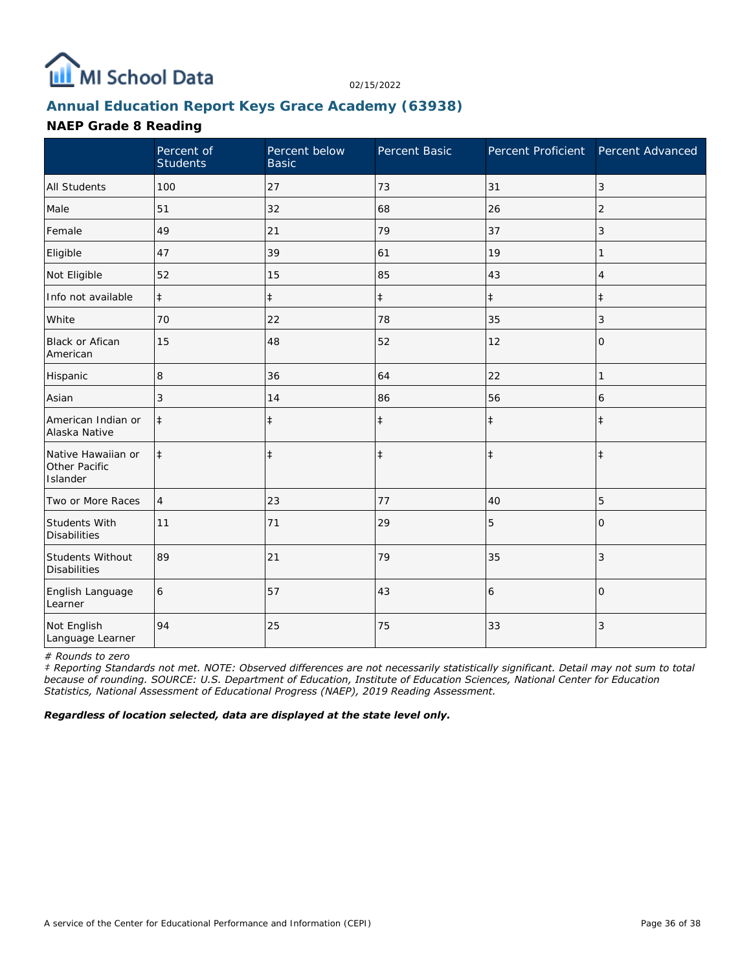

## **Annual Education Report Keys Grace Academy (63938)**

### **NAEP Grade 8 Reading**

|                                                 | Percent of<br><b>Students</b> | Percent below<br><b>Basic</b> | Percent Basic | Percent Proficient | Percent Advanced |
|-------------------------------------------------|-------------------------------|-------------------------------|---------------|--------------------|------------------|
| <b>All Students</b>                             | 100                           | 27                            | 73            | 31                 | 3                |
| Male                                            | 51                            | 32                            | 68            | 26                 | 2                |
| Female                                          | 49                            | 21                            | 79            | 37                 | 3                |
| Eligible                                        | 47                            | 39                            | 61            | 19                 | 1                |
| Not Eligible                                    | 52                            | 15                            | 85            | 43                 | 4                |
| Info not available                              | $\ddagger$                    | $\ddagger$                    | $\ddagger$    | $\ddagger$         | $\ddagger$       |
| White                                           | 70                            | 22                            | 78            | 35                 | 3                |
| Black or Afican<br>American                     | 15                            | 48                            | 52            | 12                 | 0                |
| Hispanic                                        | 8                             | 36                            | 64            | 22                 | 1                |
| Asian                                           | 3                             | 14                            | 86            | 56                 | 6                |
| American Indian or<br>Alaska Native             | $\ddagger$                    | $\ddagger$                    | $\ddagger$    | $\ddagger$         | $\ddagger$       |
| Native Hawaiian or<br>Other Pacific<br>Islander | $\ddagger$                    | $\ddagger$                    | $\ddagger$    | $\ddagger$         | $\ddagger$       |
| Two or More Races                               | $\overline{4}$                | 23                            | 77            | 40                 | 5                |
| Students With<br><b>Disabilities</b>            | 11                            | 71                            | 29            | 5                  | $\Omega$         |
| Students Without<br><b>Disabilities</b>         | 89                            | 21                            | 79            | 35                 | 3                |
| English Language<br>Learner                     | 6                             | 57                            | 43            | 6                  | $\overline{0}$   |
| Not English<br>Language Learner                 | 94                            | 25                            | 75            | 33                 | $\sqrt{3}$       |

*# Rounds to zero*

*‡ Reporting Standards not met. NOTE: Observed differences are not necessarily statistically significant. Detail may not sum to total because of rounding. SOURCE: U.S. Department of Education, Institute of Education Sciences, National Center for Education Statistics, National Assessment of Educational Progress (NAEP), 2019 Reading Assessment.*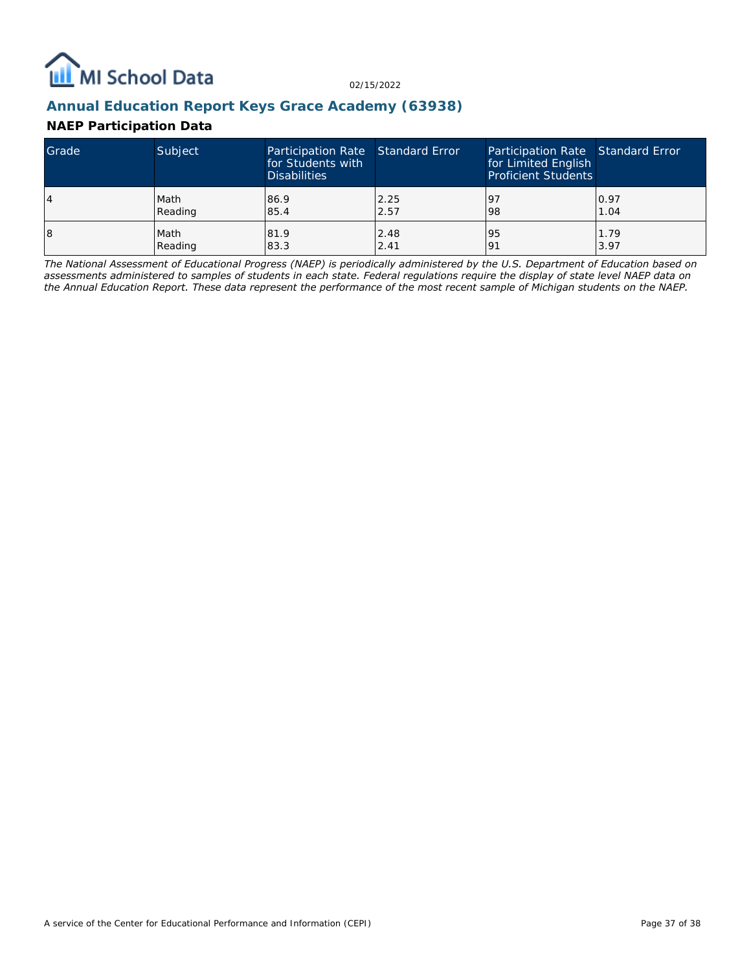

### **Annual Education Report Keys Grace Academy (63938)**

### **NAEP Participation Data**

| Grade | Subject | Participation Rate Standard Error<br>for Students with<br><b>Disabilities</b> |      | Participation Rate Standard Error<br>for Limited English<br><b>Proficient Students</b> |      |
|-------|---------|-------------------------------------------------------------------------------|------|----------------------------------------------------------------------------------------|------|
| 4     | Math    | 86.9                                                                          | 2.25 | 97                                                                                     | 0.97 |
|       | Reading | 85.4                                                                          | 2.57 | 98                                                                                     | 1.04 |
| 18    | Math    | 81.9                                                                          | 2.48 | 95                                                                                     | 1.79 |
|       | Reading | 83.3                                                                          | 2.41 | 191                                                                                    | 3.97 |

*The National Assessment of Educational Progress (NAEP) is periodically administered by the U.S. Department of Education based on assessments administered to samples of students in each state. Federal regulations require the display of state level NAEP data on the Annual Education Report. These data represent the performance of the most recent sample of Michigan students on the NAEP.*